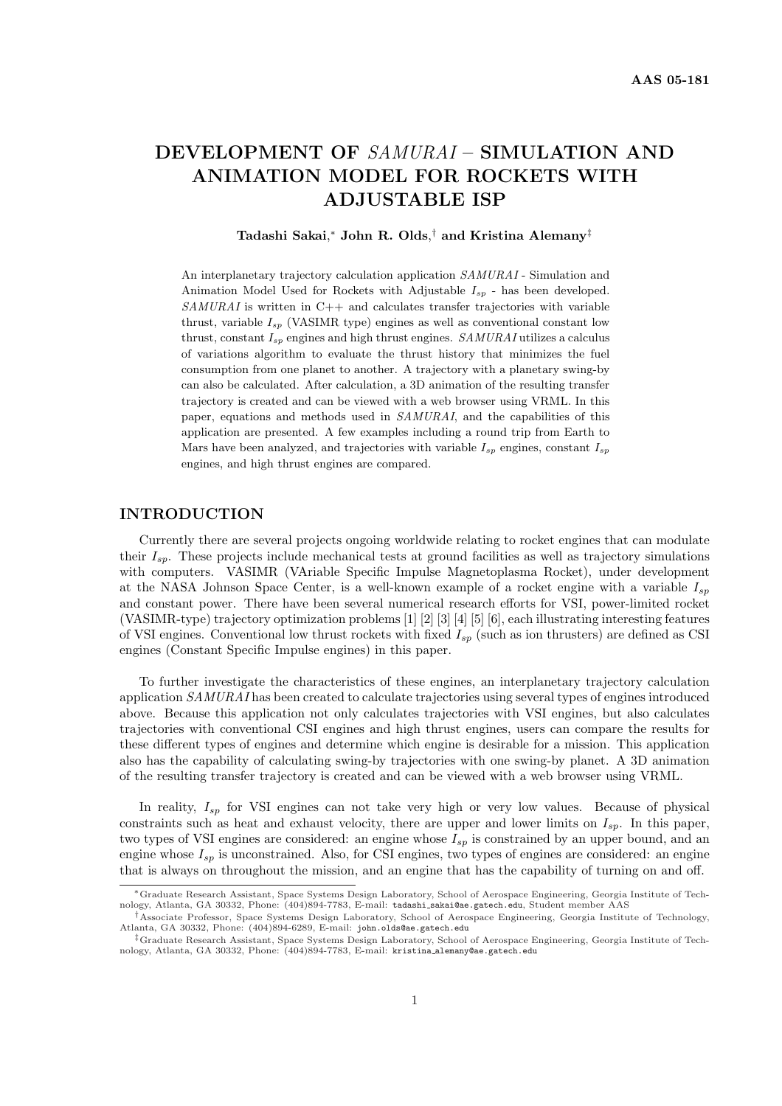# DEVELOPMENT OF SAMURAI – SIMULATION AND ANIMATION MODEL FOR ROCKETS WITH ADJUSTABLE ISP

# Tadashi Sakai, $^*$  John R. Olds, $^\dagger$  and Kristina Alemany $^\ddagger$

An interplanetary trajectory calculation application SAMURAI - Simulation and Animation Model Used for Rockets with Adjustable  $I_{sp}$  - has been developed.  $SAMURAL$  is written in C++ and calculates transfer trajectories with variable thrust, variable  $I_{sp}$  (VASIMR type) engines as well as conventional constant low thrust, constant  $I_{sp}$  engines and high thrust engines.  $SAMURAI$  utilizes a calculus of variations algorithm to evaluate the thrust history that minimizes the fuel consumption from one planet to another. A trajectory with a planetary swing-by can also be calculated. After calculation, a 3D animation of the resulting transfer trajectory is created and can be viewed with a web browser using VRML. In this paper, equations and methods used in SAMURAI, and the capabilities of this application are presented. A few examples including a round trip from Earth to Mars have been analyzed, and trajectories with variable  $I_{sp}$  engines, constant  $I_{sp}$ engines, and high thrust engines are compared.

# INTRODUCTION

Currently there are several projects ongoing worldwide relating to rocket engines that can modulate their  $I_{sn}$ . These projects include mechanical tests at ground facilities as well as trajectory simulations with computers. VASIMR (VAriable Specific Impulse Magnetoplasma Rocket), under development at the NASA Johnson Space Center, is a well-known example of a rocket engine with a variable  $I_{sp}$ and constant power. There have been several numerical research efforts for VSI, power-limited rocket (VASIMR-type) trajectory optimization problems [1] [2] [3] [4] [5] [6], each illustrating interesting features of VSI engines. Conventional low thrust rockets with fixed  $I_{sp}$  (such as ion thrusters) are defined as CSI engines (Constant Specific Impulse engines) in this paper.

To further investigate the characteristics of these engines, an interplanetary trajectory calculation application SAMURAI has been created to calculate trajectories using several types of engines introduced above. Because this application not only calculates trajectories with VSI engines, but also calculates trajectories with conventional CSI engines and high thrust engines, users can compare the results for these different types of engines and determine which engine is desirable for a mission. This application also has the capability of calculating swing-by trajectories with one swing-by planet. A 3D animation of the resulting transfer trajectory is created and can be viewed with a web browser using VRML.

In reality,  $I_{sp}$  for VSI engines can not take very high or very low values. Because of physical constraints such as heat and exhaust velocity, there are upper and lower limits on  $I_{sp}$ . In this paper, two types of VSI engines are considered: an engine whose  $I_{sp}$  is constrained by an upper bound, and an engine whose  $I_{sp}$  is unconstrained. Also, for CSI engines, two types of engines are considered: an engine that is always on throughout the mission, and an engine that has the capability of turning on and off.

<sup>∗</sup>Graduate Research Assistant, Space Systems Design Laboratory, School of Aerospace Engineering, Georgia Institute of Technology, Atlanta, GA 30332, Phone: (404)894-7783, E-mail: tadashi sakai@ae.gatech.edu, Student member AAS

<sup>†</sup>Associate Professor, Space Systems Design Laboratory, School of Aerospace Engineering, Georgia Institute of Technology, Atlanta, GA 30332, Phone: (404)894-6289, E-mail: john.olds@ae.gatech.edu

<sup>‡</sup>Graduate Research Assistant, Space Systems Design Laboratory, School of Aerospace Engineering, Georgia Institute of Technology, Atlanta, GA 30332, Phone: (404)894-7783, E-mail: kristina alemany@ae.gatech.edu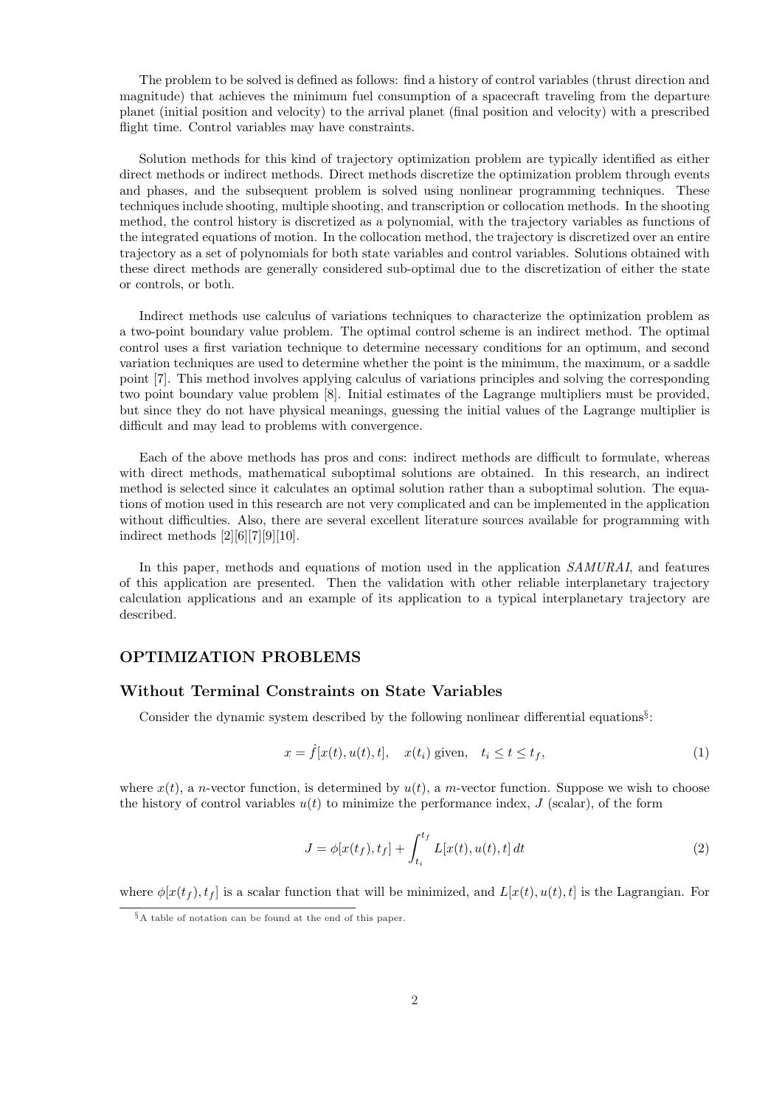The problem to be solved is defined as follows: find a history of control variables (thrust direction and magnitude) that achieves the minimum fuel consumption of a spacecraft traveling from the departure planet (initial position and velocity) to the arrival planet (final position and velocity) with a prescribed flight time. Control variables may have constraints.

Solution methods for this kind of trajectory optimization problem are typically identified as either direct methods or indirect methods. Direct methods discretize the optimization problem through events and phases, and the subsequent problem is solved using nonlinear programming techniques. These techniques include shooting, multiple shooting, and transcription or collocation methods. In the shooting method, the control history is discretized as a polynomial, with the trajectory variables as functions of the integrated equations of motion. In the collocation method, the trajectory is discretized over an entire trajectory as a set of polynomials for both state variables and control variables. Solutions obtained with these direct methods are generally considered sub-optimal due to the discretization of either the state or controls, or both.

Indirect methods use calculus of variations techniques to characterize the optimization problem as a two-point boundary value problem. The optimal control scheme is an indirect method. The optimal control uses a first variation technique to determine necessary conditions for an optimum, and second variation techniques are used to determine whether the point is the minimum, the maximum, or a saddle point [7]. This method involves applying calculus of variations principles and solving the corresponding two point boundary value problem [8]. Initial estimates of the Lagrange multipliers must be provided, but since they do not have physical meanings, guessing the initial values of the Lagrange multiplier is difficult and may lead to problems with convergence.

Each of the above methods has pros and cons: indirect methods are difficult to formulate, whereas with direct methods, mathematical suboptimal solutions are obtained. In this research, an indirect method is selected since it calculates an optimal solution rather than a suboptimal solution. The equations of motion used in this research are not very complicated and can be implemented in the application without difficulties. Also, there are several excellent literature sources available for programming with indirect methods [2][6][7][9][10].

In this paper, methods and equations of motion used in the application SAMURAI, and features of this application are presented. Then the validation with other reliable interplanetary trajectory calculation applications and an example of its application to a typical interplanetary trajectory are described.

### OPTIMIZATION PROBLEMS

# Without Terminal Constraints on State Variables

Consider the dynamic system described by the following nonlinear differential equations<sup>§</sup>:

$$
x = \dot{f}[x(t), u(t), t], \quad x(t_i) \text{ given}, \quad t_i \le t \le t_f,
$$
\n
$$
(1)
$$

where  $x(t)$ , a n-vector function, is determined by  $u(t)$ , a m-vector function. Suppose we wish to choose the history of control variables  $u(t)$  to minimize the performance index, J (scalar), of the form

$$
J = \phi[x(t_f), t_f] + \int_{t_i}^{t_f} L[x(t), u(t), t] dt
$$
\n(2)

where  $\phi[x(t_f), t_f]$  is a scalar function that will be minimized, and  $L[x(t), u(t), t]$  is the Lagrangian. For

<sup>§</sup>A table of notation can be found at the end of this paper.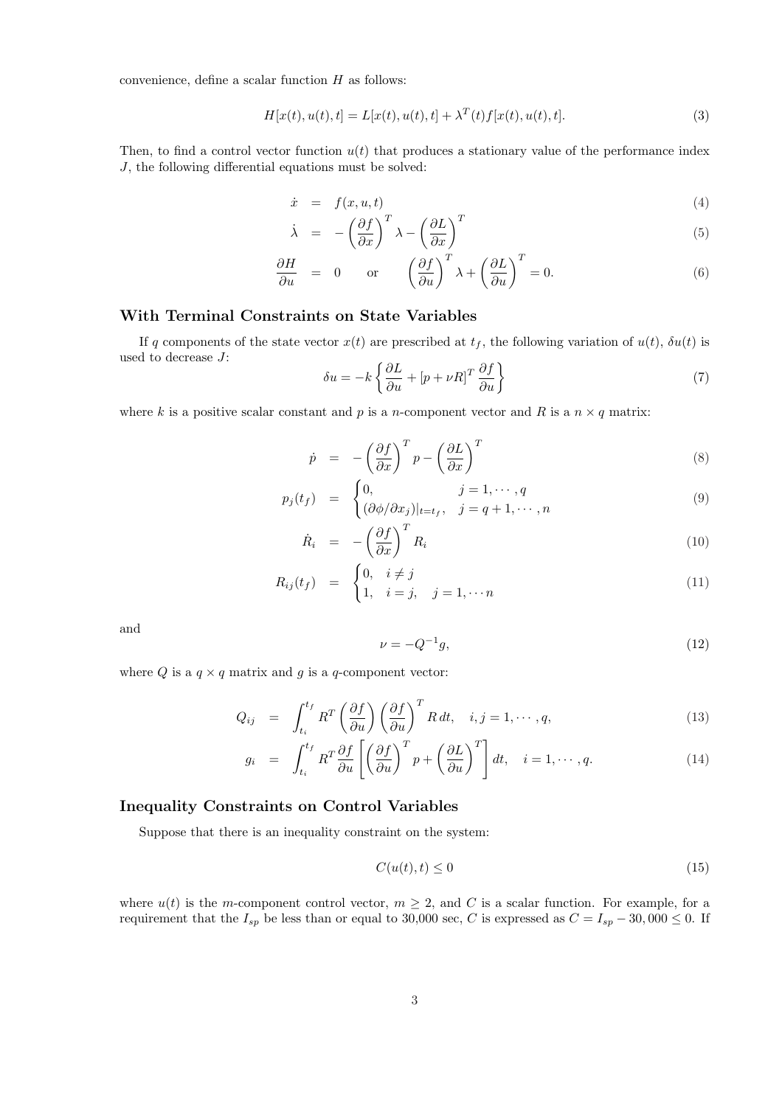convenience, define a scalar function H as follows:

$$
H[x(t), u(t), t] = L[x(t), u(t), t] + \lambda^{T}(t)f[x(t), u(t), t].
$$
\n(3)

Then, to find a control vector function  $u(t)$  that produces a stationary value of the performance index J, the following differential equations must be solved:

$$
\dot{x} = f(x, u, t) \tag{4}
$$

$$
\dot{\lambda} = -\left(\frac{\partial f}{\partial x}\right)^T \lambda - \left(\frac{\partial L}{\partial x}\right)^T \tag{5}
$$

$$
\frac{\partial H}{\partial u} = 0 \quad \text{or} \quad \left(\frac{\partial f}{\partial u}\right)^T \lambda + \left(\frac{\partial L}{\partial u}\right)^T = 0. \tag{6}
$$

# With Terminal Constraints on State Variables

If q components of the state vector  $x(t)$  are prescribed at  $t_f$ , the following variation of  $u(t)$ ,  $\delta u(t)$  is used to decrease J: ½

$$
\delta u = -k \left\{ \frac{\partial L}{\partial u} + \left[ p + \nu R \right]^T \frac{\partial f}{\partial u} \right\} \tag{7}
$$

where k is a positive scalar constant and p is a n-component vector and R is a  $n \times q$  matrix:

$$
\dot{p} = -\left(\frac{\partial f}{\partial x}\right)^T p - \left(\frac{\partial L}{\partial x}\right)^T \tag{8}
$$

$$
p_j(t_f) = \begin{cases} 0, & j = 1, \dots, q \\ (\partial \phi / \partial x_j)|_{t=t_f}, & j = q+1, \dots, n \end{cases}
$$
(9)

$$
\dot{R}_i = -\left(\frac{\partial f}{\partial x}\right)^T R_i \tag{10}
$$

$$
R_{ij}(t_f) = \begin{cases} 0, & i \neq j \\ 1, & i = j, \quad j = 1, \cdots n \end{cases}
$$
 (11)

and

$$
\nu = -Q^{-1}g,\tag{12}
$$

where Q is a  $q \times q$  matrix and g is a q-component vector:

$$
Q_{ij} = \int_{t_i}^{t_f} R^T \left(\frac{\partial f}{\partial u}\right) \left(\frac{\partial f}{\partial u}\right)^T R dt, \quad i, j = 1, \cdots, q,
$$
\n(13)

$$
g_i = \int_{t_i}^{t_f} R^T \frac{\partial f}{\partial u} \left[ \left( \frac{\partial f}{\partial u} \right)^T p + \left( \frac{\partial L}{\partial u} \right)^T \right] dt, \quad i = 1, \cdots, q. \tag{14}
$$

# Inequality Constraints on Control Variables

Suppose that there is an inequality constraint on the system:

$$
C(u(t),t) \le 0 \tag{15}
$$

where  $u(t)$  is the m-component control vector,  $m \geq 2$ , and C is a scalar function. For example, for a requirement that the  $I_{sp}$  be less than or equal to 30,000 sec, C is expressed as  $C = I_{sp} - 30,000 \le 0$ . If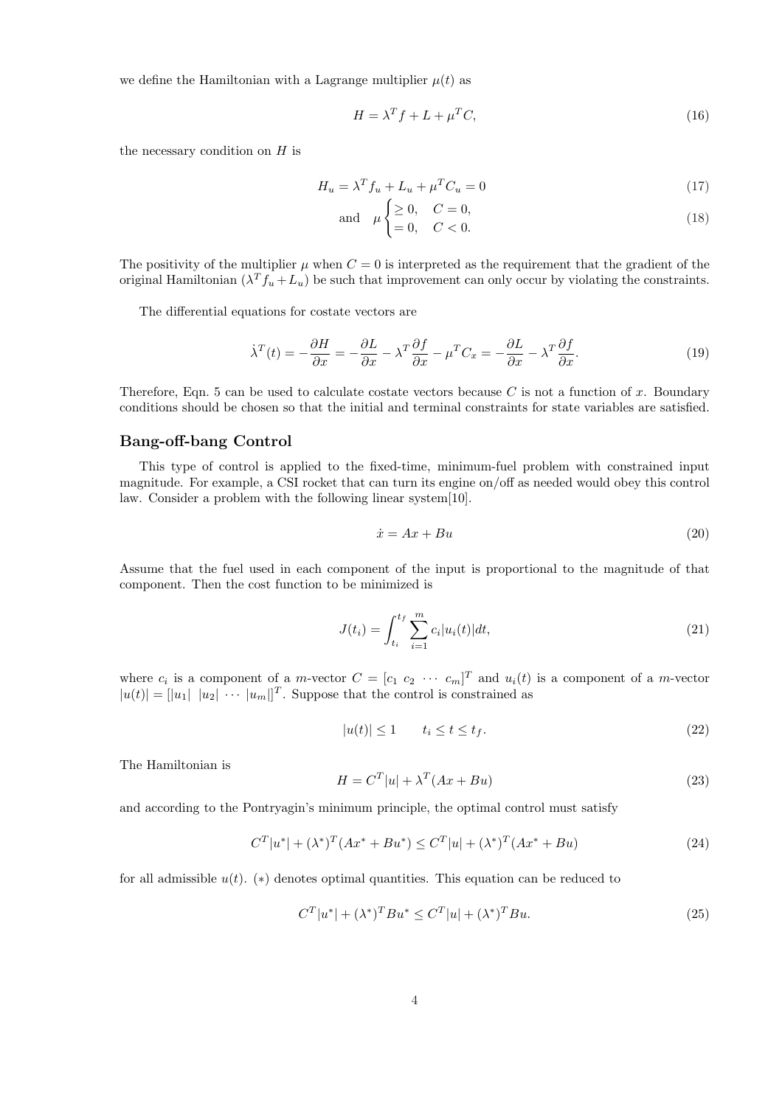we define the Hamiltonian with a Lagrange multiplier  $\mu(t)$  as

$$
H = \lambda^T f + L + \mu^T C,\tag{16}
$$

the necessary condition on  $H$  is

$$
H_u = \lambda^T f_u + L_u + \mu^T C_u = 0
$$
\n<sup>(17)</sup>

$$
\text{and} \quad \mu \begin{cases} \geq 0, & C = 0, \\ = 0, & C < 0. \end{cases} \tag{18}
$$

The positivity of the multiplier  $\mu$  when  $C = 0$  is interpreted as the requirement that the gradient of the original Hamiltonian  $(\lambda^T f_u + L_u)$  be such that improvement can only occur by violating the constraints.

The differential equations for costate vectors are

$$
\dot{\lambda}^T(t) = -\frac{\partial H}{\partial x} = -\frac{\partial L}{\partial x} - \lambda^T \frac{\partial f}{\partial x} - \mu^T C_x = -\frac{\partial L}{\partial x} - \lambda^T \frac{\partial f}{\partial x}.
$$
\n(19)

Therefore, Eqn. 5 can be used to calculate costate vectors because  $C$  is not a function of  $x$ . Boundary conditions should be chosen so that the initial and terminal constraints for state variables are satisfied.

#### Bang-off-bang Control

This type of control is applied to the fixed-time, minimum-fuel problem with constrained input magnitude. For example, a CSI rocket that can turn its engine on/off as needed would obey this control law. Consider a problem with the following linear system[10].

$$
\dot{x} = Ax + Bu \tag{20}
$$

Assume that the fuel used in each component of the input is proportional to the magnitude of that component. Then the cost function to be minimized is

$$
J(t_i) = \int_{t_i}^{t_f} \sum_{i=1}^{m} c_i |u_i(t)| dt,
$$
\n(21)

where  $c_i$  is a component of a *m*-vector  $C = [c_1 \ c_2 \ \cdots \ c_m]^T$  and  $u_i(t)$  is a component of a *m*-vector  $|u(t)| = |u_1| |u_2| \cdots |u_m|$ <sup>T</sup>. Suppose that the control is constrained as

$$
|u(t)| \le 1 \qquad t_i \le t \le t_f. \tag{22}
$$

The Hamiltonian is

$$
H = CT|u| + \lambdaT(Ax + Bu)
$$
\n(23)

and according to the Pontryagin's minimum principle, the optimal control must satisfy

$$
C^{T}|u^{*}| + (\lambda^{*})^{T}(Ax^{*} + Bu^{*}) \le C^{T}|u| + (\lambda^{*})^{T}(Ax^{*} + Bu)
$$
\n(24)

for all admissible  $u(t)$ . (\*) denotes optimal quantities. This equation can be reduced to

$$
C^{T}|u^{*}| + (\lambda^{*})^{T}Bu^{*} \le C^{T}|u| + (\lambda^{*})^{T}Bu.
$$
\n(25)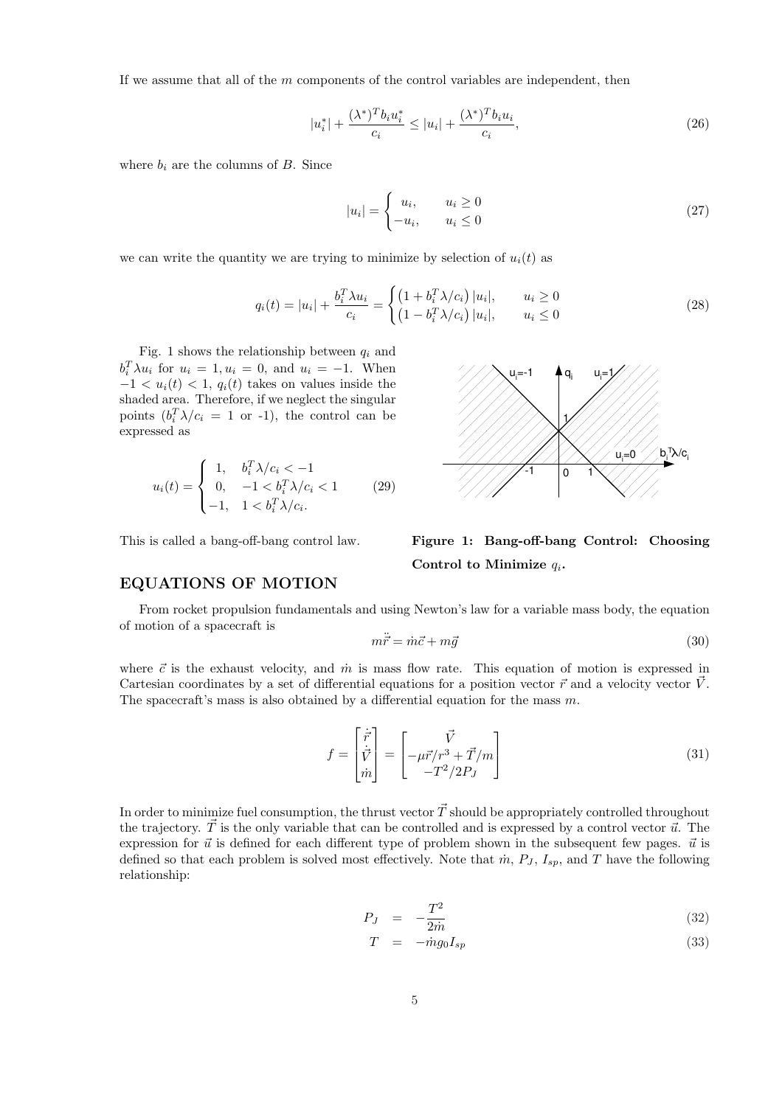If we assume that all of the m components of the control variables are independent, then

$$
|u_i^*| + \frac{(\lambda^*)^T b_i u_i^*}{c_i} \le |u_i| + \frac{(\lambda^*)^T b_i u_i}{c_i},\tag{26}
$$

where  $b_i$  are the columns of B. Since

$$
|u_i| = \begin{cases} u_i, & u_i \ge 0\\ -u_i, & u_i \le 0 \end{cases}
$$
 (27)

we can write the quantity we are trying to minimize by selection of  $u_i(t)$  as

$$
q_i(t) = |u_i| + \frac{b_i^T \lambda u_i}{c_i} = \begin{cases} \left(1 + b_i^T \lambda / c_i\right) |u_i|, & u_i \ge 0\\ \left(1 - b_i^T \lambda / c_i\right) |u_i|, & u_i \le 0 \end{cases}
$$
\n(28)

Control to Minimize  $q_i$ .

Fig. 1 shows the relationship between  $q_i$  and  $b_i^T \lambda u_i$  for  $u_i = 1, u_i = 0$ , and  $u_i = -1$ . When  $-1 < u_i(t) < 1$ ,  $q_i(t)$  takes on values inside the shaded area. Therefore, if we neglect the singular points  $(b_i^T \lambda / c_i = 1 \text{ or } -1)$ , the control can be expressed as

$$
u_i(t) = \begin{cases} 1, & b_i^T \lambda / c_i < -1 \\ 0, & -1 < b_i^T \lambda / c_i < 1 \\ -1, & 1 < b_i^T \lambda / c_i. \end{cases} \tag{29}
$$

This is called a bang-off-bang control law.

#### EQUATIONS OF MOTION

From rocket propulsion fundamentals and using Newton's law for a variable mass body, the equation of motion of a spacecraft is

$$
m\ddot{\vec{r}} = \dot{m}\vec{c} + m\vec{g} \tag{30}
$$

where  $\vec{c}$  is the exhaust velocity, and  $\dot{m}$  is mass flow rate. This equation of motion is expressed in Cartesian coordinates by a set of differential equations for a position vector  $\vec{r}$  and a velocity vector  $\vec{V}$ . The spacecraft's mass is also obtained by a differential equation for the mass  $m$ .

$$
f = \begin{bmatrix} \dot{\vec{r}} \\ \dot{\vec{V}} \\ \dot{m} \end{bmatrix} = \begin{bmatrix} \vec{V} \\ -\mu \vec{r}/r^3 + \vec{T}/m \\ -T^2/2P_J \end{bmatrix}
$$
(31)

In order to minimize fuel consumption, the thrust vector  $\vec{T}$  should be appropriately controlled throughout the trajectory.  $\vec{T}$  is the only variable that can be controlled and is expressed by a control vector  $\vec{u}$ . The expression for  $\vec{u}$  is defined for each different type of problem shown in the subsequent few pages.  $\vec{u}$  is defined so that each problem is solved most effectively. Note that  $\dot{m}$ ,  $P_J$ ,  $I_{sp}$ , and T have the following relationship:

$$
P_J = -\frac{T^2}{2m} \tag{32}
$$

$$
T = -\dot{m}g_0 I_{sp} \tag{33}
$$



Figure 1: Bang-off-bang Control: Choosing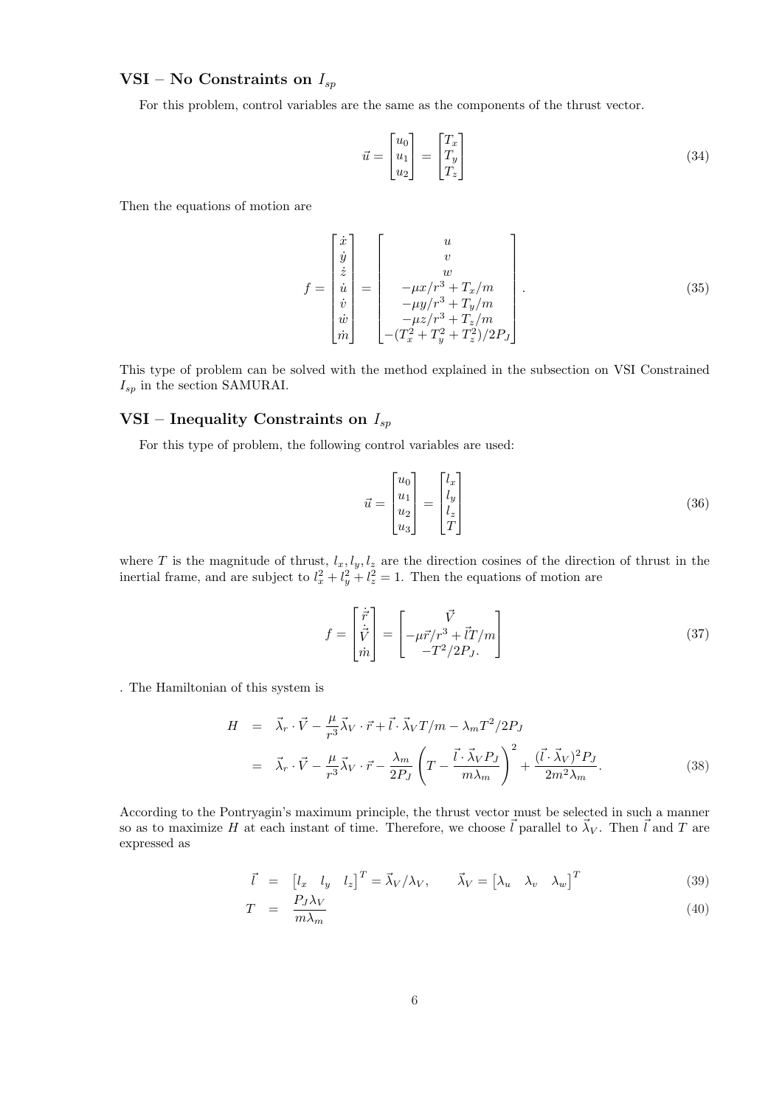# VSI – No Constraints on  $I_{sp}$

For this problem, control variables are the same as the components of the thrust vector.

$$
\vec{u} = \begin{bmatrix} u_0 \\ u_1 \\ u_2 \end{bmatrix} = \begin{bmatrix} T_x \\ T_y \\ T_z \end{bmatrix}
$$
\n(34)

Then the equations of motion are

$$
f = \begin{bmatrix} \dot{x} \\ \dot{y} \\ \dot{z} \\ \dot{v} \\ \dot{w} \\ \dot{m} \end{bmatrix} = \begin{bmatrix} u \\ v \\ w \\ -\mu x / r^3 + T_x / m \\ -\mu y / r^3 + T_y / m \\ -\mu z / r^3 + T_z / m \\ -\mu z / r^3 + T_z / m \\ -(T_x^2 + T_y^2 + T_z^2) / 2P_J \end{bmatrix} .
$$
 (35)

This type of problem can be solved with the method explained in the subsection on VSI Constrained  $\mathcal{I}_{sp}$  in the section SAMURAI.

# VSI – Inequality Constraints on  $I_{sp}$

For this type of problem, the following control variables are used:

$$
\vec{u} = \begin{bmatrix} u_0 \\ u_1 \\ u_2 \\ u_3 \end{bmatrix} = \begin{bmatrix} l_x \\ l_y \\ l_z \\ T \end{bmatrix}
$$
\n(36)

where T is the magnitude of thrust,  $l_x, l_y, l_z$  are the direction cosines of the direction of thrust in the inertial frame, and are subject to  $l_x^2 + l_y^2 + l_z^2 = 1$ . Then the equations of motion are

$$
f = \begin{bmatrix} \dot{\vec{r}} \\ \dot{\vec{V}} \\ \dot{m} \end{bmatrix} = \begin{bmatrix} \vec{V} \\ -\mu \vec{r}/r^3 + \vec{l}T/m \\ -T^2/2P_J. \end{bmatrix}
$$
(37)

. The Hamiltonian of this system is

$$
H = \vec{\lambda}_r \cdot \vec{V} - \frac{\mu}{r^3} \vec{\lambda}_V \cdot \vec{r} + \vec{l} \cdot \vec{\lambda}_V T/m - \lambda_m T^2 / 2P_J
$$
  

$$
= \vec{\lambda}_r \cdot \vec{V} - \frac{\mu}{r^3} \vec{\lambda}_V \cdot \vec{r} - \frac{\lambda_m}{2P_J} \left( T - \frac{\vec{l} \cdot \vec{\lambda}_V P_J}{m \lambda_m} \right)^2 + \frac{(\vec{l} \cdot \vec{\lambda}_V)^2 P_J}{2m^2 \lambda_m}.
$$
 (38)

According to the Pontryagin's maximum principle, the thrust vector must be selected in such a manner so as to maximize H at each instant of time. Therefore, we choose  $\vec{l}$  parallel to  $\vec{\lambda}_V$ . Then  $\vec{l}$  and T are expressed as

$$
\vec{l} = \begin{bmatrix} l_x & l_y & l_z \end{bmatrix}^T = \vec{\lambda}_V / \lambda_V, \qquad \vec{\lambda}_V = \begin{bmatrix} \lambda_u & \lambda_v & \lambda_w \end{bmatrix}^T
$$
(39)

$$
T = \frac{P_J \lambda_V}{m \lambda_m} \tag{40}
$$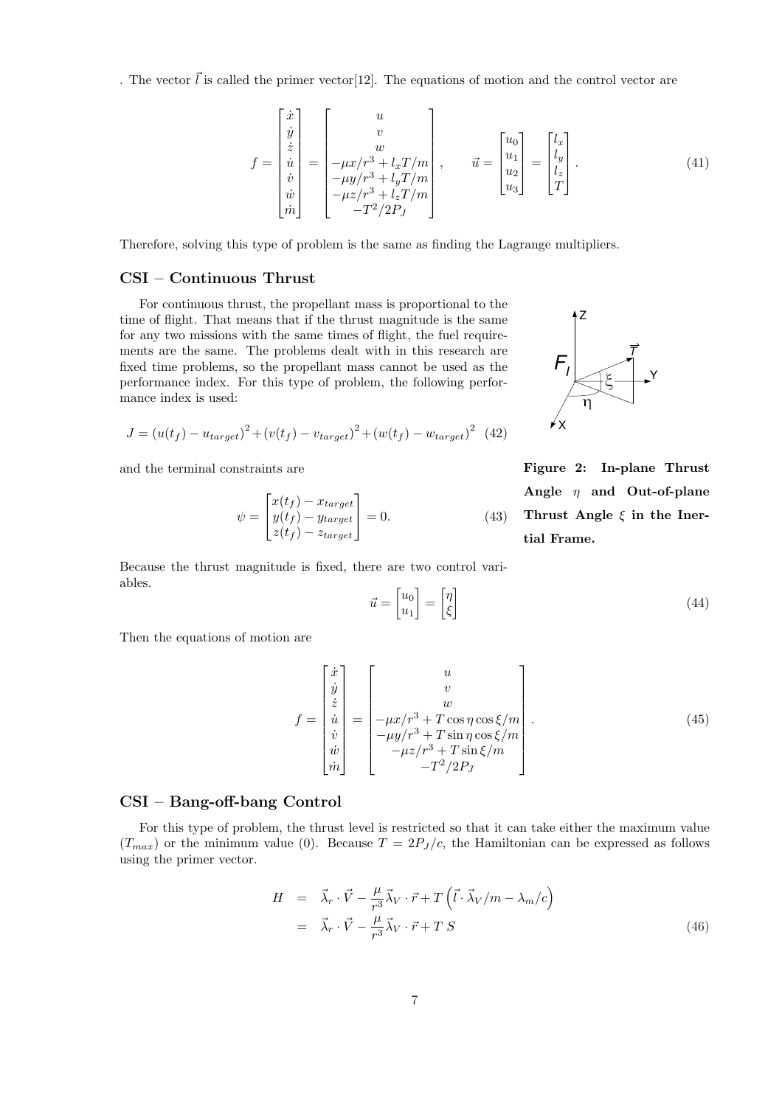. The vector  $\vec{l}$  is called the primer vector [12]. The equations of motion and the control vector are

$$
f = \begin{bmatrix} \dot{x} \\ \dot{y} \\ \dot{z} \\ \dot{u} \\ \dot{v} \\ \dot{w} \\ \dot{m} \end{bmatrix} = \begin{bmatrix} u \\ v \\ -\mu x / r^3 + l_x T / m \\ -\mu y / r^3 + l_y T / m \\ -\mu z / r^3 + l_z T / m \\ -T^2 / 2P_J \end{bmatrix}, \qquad \vec{u} = \begin{bmatrix} u_0 \\ u_1 \\ u_2 \\ u_3 \end{bmatrix} = \begin{bmatrix} l_x \\ l_y \\ l_z \\ T \end{bmatrix}.
$$
 (41)

Therefore, solving this type of problem is the same as finding the Lagrange multipliers.

# CSI – Continuous Thrust

For continuous thrust, the propellant mass is proportional to the time of flight. That means that if the thrust magnitude is the same for any two missions with the same times of flight, the fuel requirements are the same. The problems dealt with in this research are fixed time problems, so the propellant mass cannot be used as the performance index. For this type of problem, the following performance index is used:

$$
J = (u(t_f) - u_{target})^2 + (v(t_f) - v_{target})^2 + (w(t_f) - w_{target})^2
$$
 (42)

and the terminal constraints are

$$
\psi = \begin{bmatrix} x(t_f) - x_{target} \\ y(t_f) - y_{target} \\ z(t_f) - z_{target} \end{bmatrix} = 0.
$$
\n(43)

Because the thrust magnitude is fixed, there are two control variables. ·  $\overline{a}$ ·  $\overline{a}$ 

$$
\vec{u} = \begin{bmatrix} u_0 \\ u_1 \end{bmatrix} = \begin{bmatrix} \eta \\ \xi \end{bmatrix} \tag{44}
$$

X

 $F_{I}$ 

Z

Then the equations of motion are

$$
f = \begin{bmatrix} \dot{x} \\ \dot{y} \\ \dot{z} \\ \dot{u} \\ \dot{v} \\ \dot{w} \\ \dot{m} \end{bmatrix} = \begin{bmatrix} u \\ v \\ w \\ -\mu x/r^3 + T \cos \eta \cos \xi/m \\ -\mu y/r^3 + T \sin \eta \cos \xi/m \\ -\mu z/r^3 + T \sin \xi/m \\ -T^2/2P_J \end{bmatrix} . \tag{45}
$$

#### CSI – Bang-off-bang Control

For this type of problem, the thrust level is restricted so that it can take either the maximum value  $(T_{max})$  or the minimum value (0). Because  $T = 2P_J/c$ , the Hamiltonian can be expressed as follows using the primer vector.

$$
H = \vec{\lambda}_r \cdot \vec{V} - \frac{\mu}{r^3} \vec{\lambda}_V \cdot \vec{r} + T \left( \vec{l} \cdot \vec{\lambda}_V / m - \lambda_m / c \right)
$$
  
=  $\vec{\lambda}_r \cdot \vec{V} - \frac{\mu}{r^3} \vec{\lambda}_V \cdot \vec{r} + T S$  (46)

Figure 2: In-plane Thrust Angle  $\eta$  and Out-of-plane Thrust Angle  $\xi$  in the Inertial Frame.

Y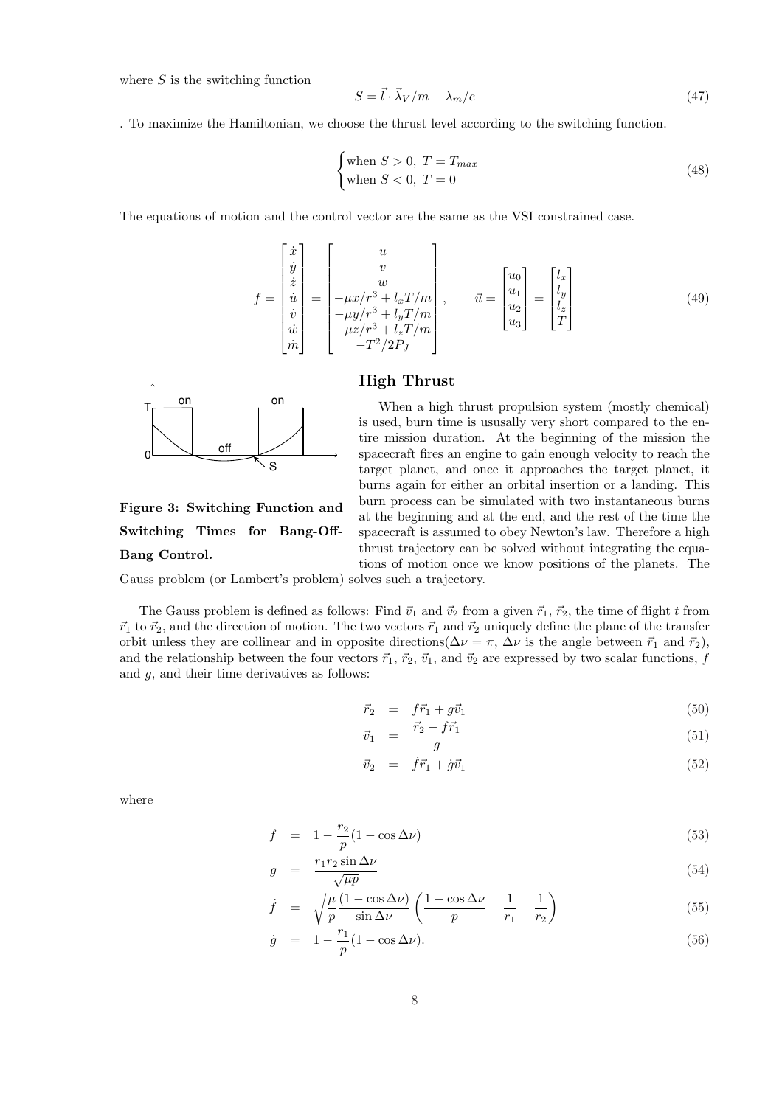where  $S$  is the switching function

$$
S = \vec{l} \cdot \vec{\lambda}_V / m - \lambda_m / c \tag{47}
$$

. To maximize the Hamiltonian, we choose the thrust level according to the switching function.

$$
\begin{cases} \text{when } S > 0, \ T = T_{max} \\ \text{when } S < 0, \ T = 0 \end{cases}
$$
 (48)

The equations of motion and the control vector are the same as the VSI constrained case.

$$
f = \begin{bmatrix} \dot{x} \\ \dot{y} \\ \dot{z} \\ \dot{u} \\ \dot{v} \\ \dot{w} \\ \dot{m} \end{bmatrix} = \begin{bmatrix} u \\ v \\ w \\ -\mu x/r^3 + l_x T/m \\ -\mu y/r^3 + l_y T/m \\ -\mu z/r^3 + l_z T/m \\ -T^2/2P_J \end{bmatrix}, \qquad \vec{u} = \begin{bmatrix} u_0 \\ u_1 \\ u_2 \\ u_3 \end{bmatrix} = \begin{bmatrix} l_x \\ l_y \\ l_z \\ T \end{bmatrix}
$$
(49)

# High Thrust



Figure 3: Switching Function and Switching Times for Bang-Off-Bang Control.

When a high thrust propulsion system (mostly chemical) is used, burn time is ususally very short compared to the entire mission duration. At the beginning of the mission the spacecraft fires an engine to gain enough velocity to reach the target planet, and once it approaches the target planet, it burns again for either an orbital insertion or a landing. This burn process can be simulated with two instantaneous burns at the beginning and at the end, and the rest of the time the spacecraft is assumed to obey Newton's law. Therefore a high thrust trajectory can be solved without integrating the equations of motion once we know positions of the planets. The

Gauss problem (or Lambert's problem) solves such a trajectory.

The Gauss problem is defined as follows: Find  $\vec{v}_1$  and  $\vec{v}_2$  from a given  $\vec{r}_1$ ,  $\vec{r}_2$ , the time of flight t from  $\vec{r}_1$  to  $\vec{r}_2$ , and the direction of motion. The two vectors  $\vec{r}_1$  and  $\vec{r}_2$  uniquely define the plane of the transfer orbit unless they are collinear and in opposite directions( $\Delta \nu = \pi$ ,  $\Delta \nu$  is the angle between  $\vec{r}_1$  and  $\vec{r}_2$ ), and the relationship between the four vectors  $\vec{r}_1$ ,  $\vec{r}_2$ ,  $\vec{v}_1$ , and  $\vec{v}_2$  are expressed by two scalar functions, f and g, and their time derivatives as follows:

$$
\vec{r}_2 = f\vec{r}_1 + g\vec{v}_1 \tag{50}
$$

$$
\vec{v}_1 = \frac{\vec{r}_2 - f\vec{r}_1}{g} \tag{51}
$$

$$
\vec{v}_2 = \dot{f}\vec{r}_1 + \dot{g}\vec{v}_1 \tag{52}
$$

where

$$
f = 1 - \frac{r_2}{p} (1 - \cos \Delta \nu) \tag{53}
$$

$$
g = \frac{r_1 r_2 \sin \Delta \nu}{\sqrt{\mu p}} \tag{54}
$$

$$
\dot{f} = \sqrt{\frac{\mu}{p}} \frac{(1 - \cos \Delta \nu)}{\sin \Delta \nu} \left( \frac{1 - \cos \Delta \nu}{p} - \frac{1}{r_1} - \frac{1}{r_2} \right)
$$
(55)

$$
\dot{g} = 1 - \frac{r_1}{p} (1 - \cos \Delta \nu). \tag{56}
$$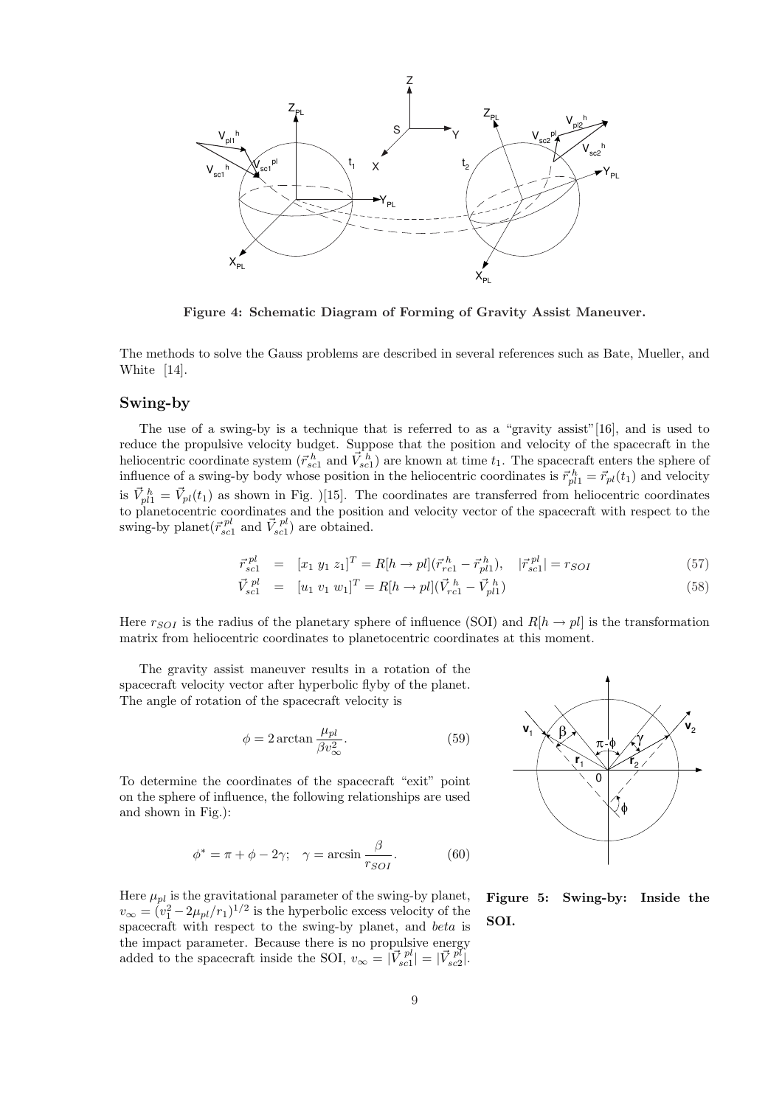

Figure 4: Schematic Diagram of Forming of Gravity Assist Maneuver.

The methods to solve the Gauss problems are described in several references such as Bate, Mueller, and White [14].

#### Swing-by

The use of a swing-by is a technique that is referred to as a "gravity assist"[16], and is used to reduce the propulsive velocity budget. Suppose that the position and velocity of the spacecraft in the heliocentric coordinate system  $(\vec{r}_{sc1}^h$  and  $\vec{V}_{sc1}^h$  are known at time  $t_1$ . The spacecraft enters the sphere of influence of a swing-by body whose position in the heliocentric coordinates is  $\vec{r}_{pl1}^h = \vec{r}_{pl}(t_1)$  and velocity is  $\vec{V}_{pl1}^h = \vec{V}_{pl}(t_1)$  as shown in Fig. )[15]. The coordinates are transferred from heliocentric coordinates to planetocentric coordinates and the position and velocity vector of the spacecraft with respect to the swing-by planet  $(\vec{r}_{sc1}^{pl} \text{ and } \vec{V}_{sc1}^{pl})$  are obtained.

$$
\vec{r}_{sc1}^{pl} = [x_1 \ y_1 \ z_1]^T = R[h \to pl](\vec{r}_{rc1}^h - \vec{r}_{pl1}^h), \quad |\vec{r}_{sc1}^{pl}| = r_{SOI} \tag{57}
$$

$$
\vec{V}_{sc1}^{pl} = [u_1 \ v_1 \ w_1]^T = R[h \to pl](\vec{V}_{rc1}^h - \vec{V}_{pl1}^h)
$$
\n(58)

Here  $r_{SOI}$  is the radius of the planetary sphere of influence (SOI) and  $R[h \rightarrow pl]$  is the transformation matrix from heliocentric coordinates to planetocentric coordinates at this moment.

The gravity assist maneuver results in a rotation of the spacecraft velocity vector after hyperbolic flyby of the planet. The angle of rotation of the spacecraft velocity is

$$
\phi = 2 \arctan \frac{\mu_{pl}}{\beta v_{\infty}^2}.
$$
\n(59)

To determine the coordinates of the spacecraft "exit" point on the sphere of influence, the following relationships are used and shown in Fig.):

$$
\phi^* = \pi + \phi - 2\gamma; \quad \gamma = \arcsin \frac{\beta}{r_{SOI}}.\tag{60}
$$

Here  $\mu_{pl}$  is the gravitational parameter of the swing-by planet,  $v_{\infty} = (v_1^2 - 2\mu_{pl}/r_1)^{1/2}$  is the hyperbolic excess velocity of the spacecraft with respect to the swing-by planet, and beta is the impact parameter. Because there is no propulsive energy added to the spacecraft inside the SOI,  $v_{\infty} = |\vec{V}_{sc}^{pl}| = |\vec{V}_{sc}^{pl}|$ .



Figure 5: Swing-by: Inside the SOI.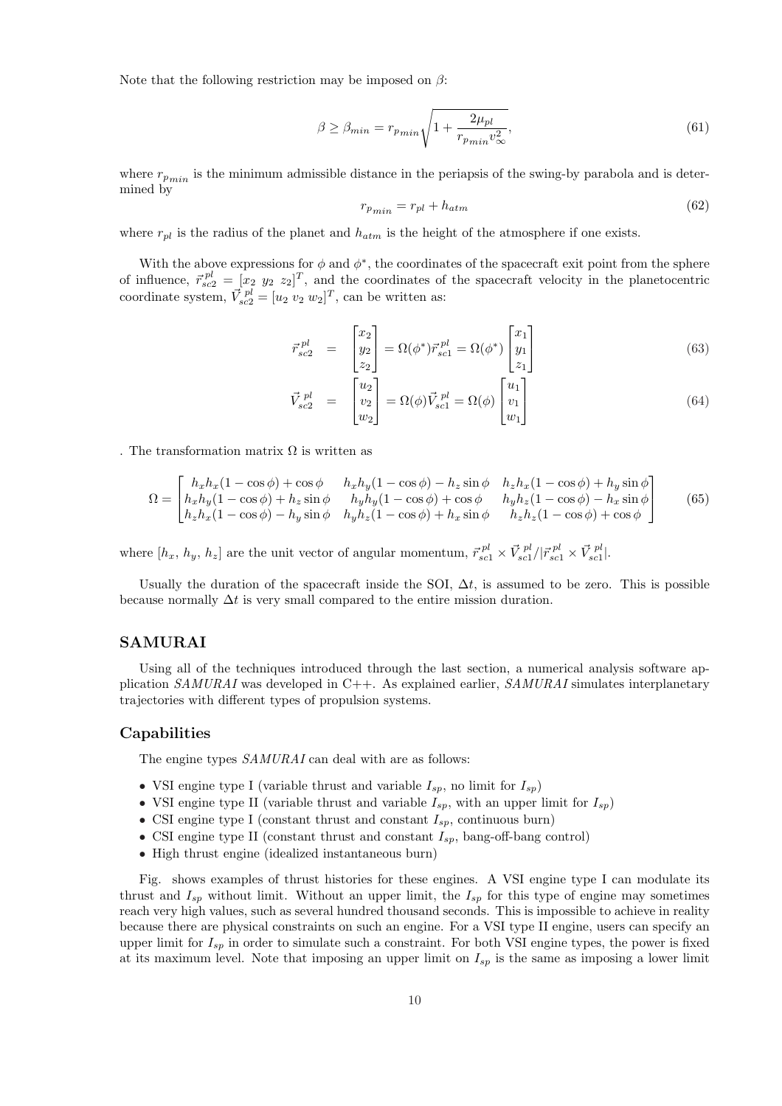Note that the following restriction may be imposed on  $\beta$ :

$$
\beta \ge \beta_{min} = r_{p_{min}} \sqrt{1 + \frac{2\mu_{pl}}{r_{p_{min}} v_{\infty}^2}},\tag{61}
$$

where  $r_{p_{min}}$  is the minimum admissible distance in the periapsis of the swing-by parabola and is determined by

$$
r_{p_{min}} = r_{pl} + h_{atm} \tag{62}
$$

where  $r_{pl}$  is the radius of the planet and  $h_{atm}$  is the height of the atmosphere if one exists.

With the above expressions for  $\phi$  and  $\phi^*$ , the coordinates of the spacecraft exit point from the sphere of influence,  $\vec{r}_{sc2}^{pl} = [x_2 \ y_2 \ z_2]^T$ , and the coordinates of the spacecraft velocity in the planetocentric coordinate system,  $\vec{V}_{sc2}^{pl} = [u_2 \ v_2 \ w_2]^T$ , can be written as:

$$
\vec{r}_{sc2}^{pl} = \begin{bmatrix} x_2 \\ y_2 \\ z_2 \end{bmatrix} = \Omega(\phi^*) \vec{r}_{sc1}^{pl} = \Omega(\phi^*) \begin{bmatrix} x_1 \\ y_1 \\ z_1 \end{bmatrix}
$$
\n(63)

$$
\vec{V}_{sc2}^{pl} = \begin{bmatrix} u_2 \\ v_2 \\ w_2 \end{bmatrix} = \Omega(\phi)\vec{V}_{sc1}^{pl} = \Omega(\phi) \begin{bmatrix} u_1 \\ v_1 \\ w_1 \end{bmatrix}
$$
\n(64)

. The transformation matrix  $\Omega$  is written as

$$
\Omega = \begin{bmatrix} h_x h_x (1 - \cos \phi) + \cos \phi & h_x h_y (1 - \cos \phi) - h_z \sin \phi & h_z h_x (1 - \cos \phi) + h_y \sin \phi \\ h_x h_y (1 - \cos \phi) + h_z \sin \phi & h_y h_y (1 - \cos \phi) + \cos \phi & h_y h_z (1 - \cos \phi) - h_x \sin \phi \\ h_z h_x (1 - \cos \phi) - h_y \sin \phi & h_y h_z (1 - \cos \phi) + h_x \sin \phi & h_z h_z (1 - \cos \phi) + \cos \phi \end{bmatrix}
$$
(65)

where  $[h_x, h_y, h_z]$  are the unit vector of angular momentum,  $\vec{r}_{sc1}^{pl} \times \vec{V}_{sc1}^{pl} / |\vec{r}_{sc1}^{pl} \times \vec{V}_{sc1}^{pl}|$ .

Usually the duration of the spacecraft inside the SOI,  $\Delta t$ , is assumed to be zero. This is possible because normally  $\Delta t$  is very small compared to the entire mission duration.

# SAMURAI

Using all of the techniques introduced through the last section, a numerical analysis software application  $SAMURAI$  was developed in C++. As explained earlier,  $SAMURAI$  simulates interplanetary trajectories with different types of propulsion systems.

#### Capabilities

The engine types  $SAMURAI$  can deal with are as follows:

- VSI engine type I (variable thrust and variable  $I_{sp}$ , no limit for  $I_{sp}$ )
- VSI engine type II (variable thrust and variable  $I_{sp}$ , with an upper limit for  $I_{sp}$ )
- CSI engine type I (constant thrust and constant  $I_{sp}$ , continuous burn)
- CSI engine type II (constant thrust and constant  $I_{sp}$ , bang-off-bang control)
- High thrust engine (idealized instantaneous burn)

Fig. shows examples of thrust histories for these engines. A VSI engine type I can modulate its thrust and  $I_{sp}$  without limit. Without an upper limit, the  $I_{sp}$  for this type of engine may sometimes reach very high values, such as several hundred thousand seconds. This is impossible to achieve in reality because there are physical constraints on such an engine. For a VSI type II engine, users can specify an upper limit for  $I_{sp}$  in order to simulate such a constraint. For both VSI engine types, the power is fixed at its maximum level. Note that imposing an upper limit on  $I_{sp}$  is the same as imposing a lower limit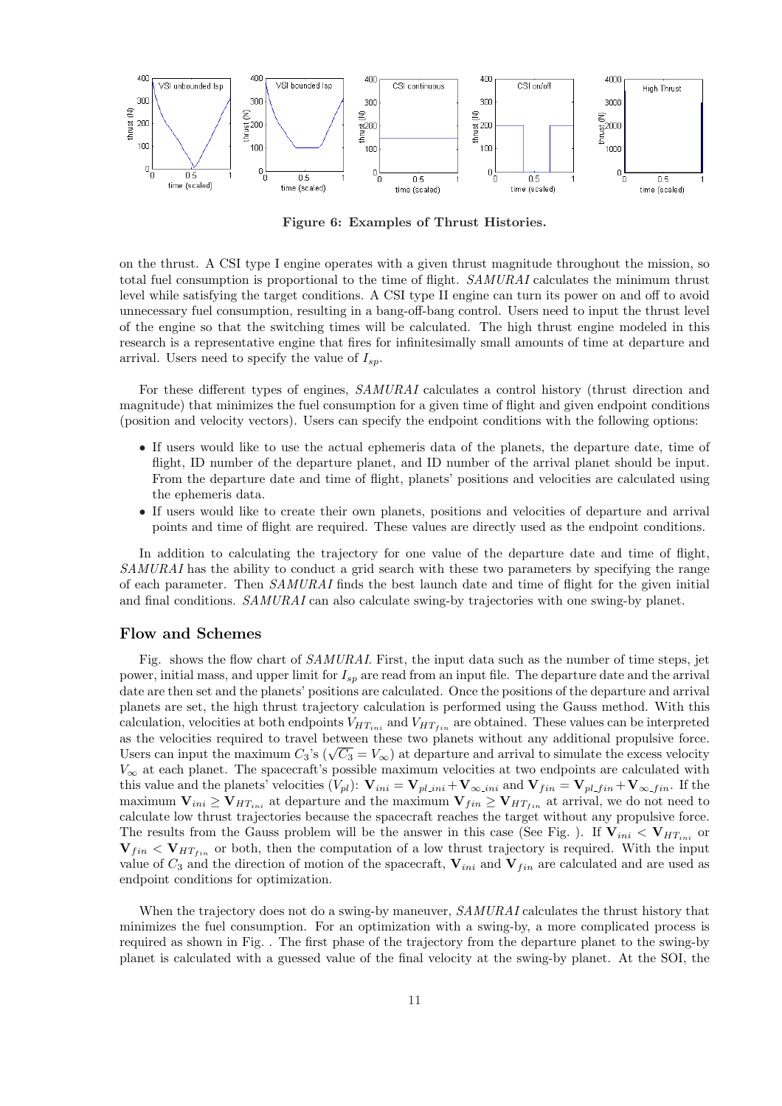

Figure 6: Examples of Thrust Histories.

on the thrust. A CSI type I engine operates with a given thrust magnitude throughout the mission, so total fuel consumption is proportional to the time of flight. SAMURAI calculates the minimum thrust level while satisfying the target conditions. A CSI type II engine can turn its power on and off to avoid unnecessary fuel consumption, resulting in a bang-off-bang control. Users need to input the thrust level of the engine so that the switching times will be calculated. The high thrust engine modeled in this research is a representative engine that fires for infinitesimally small amounts of time at departure and arrival. Users need to specify the value of  $I_{sp}$ .

For these different types of engines,  $SAMURAL$  calculates a control history (thrust direction and magnitude) that minimizes the fuel consumption for a given time of flight and given endpoint conditions (position and velocity vectors). Users can specify the endpoint conditions with the following options:

- If users would like to use the actual ephemeris data of the planets, the departure date, time of flight, ID number of the departure planet, and ID number of the arrival planet should be input. From the departure date and time of flight, planets' positions and velocities are calculated using the ephemeris data.
- If users would like to create their own planets, positions and velocities of departure and arrival points and time of flight are required. These values are directly used as the endpoint conditions.

In addition to calculating the trajectory for one value of the departure date and time of flight, SAMURAI has the ability to conduct a grid search with these two parameters by specifying the range of each parameter. Then SAMURAI finds the best launch date and time of flight for the given initial and final conditions. *SAMURAI* can also calculate swing-by trajectories with one swing-by planet.

#### Flow and Schemes

Fig. shows the flow chart of *SAMURAI*. First, the input data such as the number of time steps, jet power, initial mass, and upper limit for  $I_{sp}$  are read from an input file. The departure date and the arrival date are then set and the planets' positions are calculated. Once the positions of the departure and arrival planets are set, the high thrust trajectory calculation is performed using the Gauss method. With this calculation, velocities at both endpoints  $V_{HT_{ini}}$  and  $V_{HT_{fin}}$  are obtained. These values can be interpreted as the velocities required to travel between these two planets without any additional propulsive force. as the velocities required to travel between these two planets without any additional propulsive force.<br>Users can input the maximum  $C_3$ 's ( $\sqrt{C_3} = V_\infty$ ) at departure and arrival to simulate the excess velocity  $V_{\infty}$  at each planet. The spacecraft's possible maximum velocities at two endpoints are calculated with this value and the planets' velocities  $(V_{pl})$ :  $\mathbf{V}_{ini} = \mathbf{V}_{pl\_ini} + \mathbf{V}_{\infty\_ini}$  and  $\mathbf{V}_{fin} = \mathbf{V}_{pl\_fin} + \mathbf{V}_{\infty\_fin}$ . If the maximum  $V_{ini} \geq V_{HT_{ini}}$  at departure and the maximum  $V_{fin} \geq V_{HT_{fin}}$  at arrival, we do not need to calculate low thrust trajectories because the spacecraft reaches the target without any propulsive force. The results from the Gauss problem will be the answer in this case (See Fig. ). If  $V_{ini} < V_{HT_{ini}}$  or  $V_{fin} < V_{HT_{fin}}$  or both, then the computation of a low thrust trajectory is required. With the input value of  $C_3$  and the direction of motion of the spacecraft,  $V_{ini}$  and  $V_{fin}$  are calculated and are used as endpoint conditions for optimization.

When the trajectory does not do a swing-by maneuver, SAMURAI calculates the thrust history that minimizes the fuel consumption. For an optimization with a swing-by, a more complicated process is required as shown in Fig. . The first phase of the trajectory from the departure planet to the swing-by planet is calculated with a guessed value of the final velocity at the swing-by planet. At the SOI, the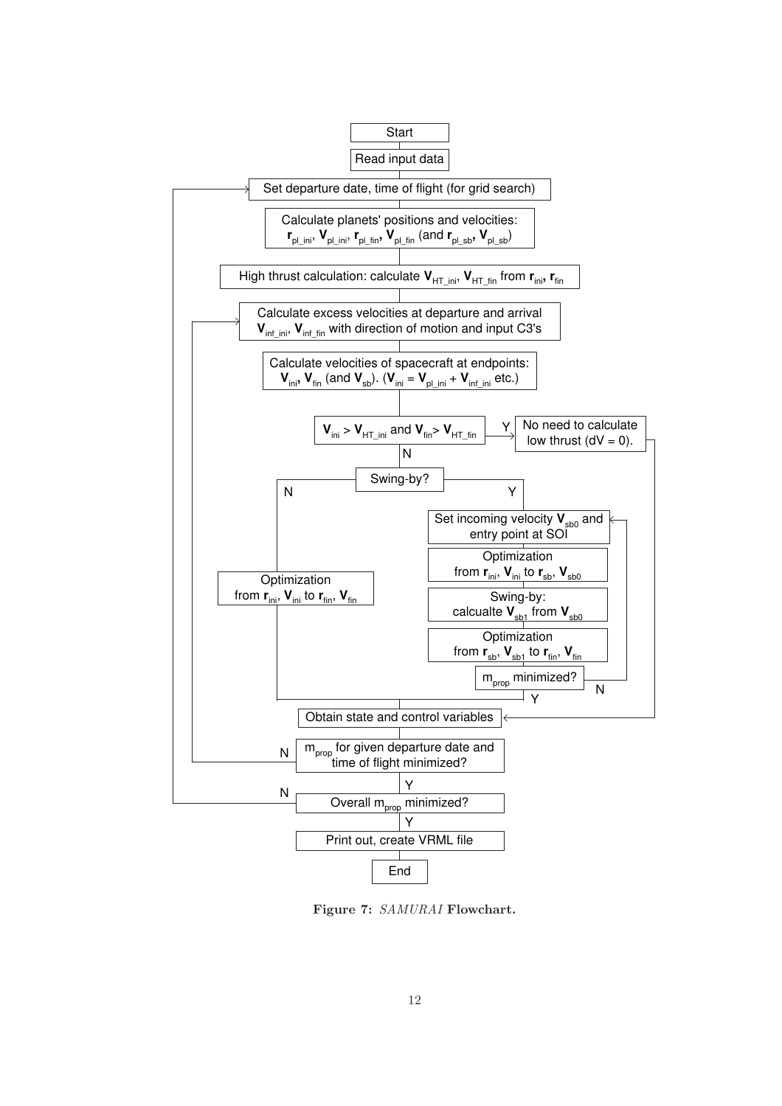

Figure 7: SAMURAI Flowchart.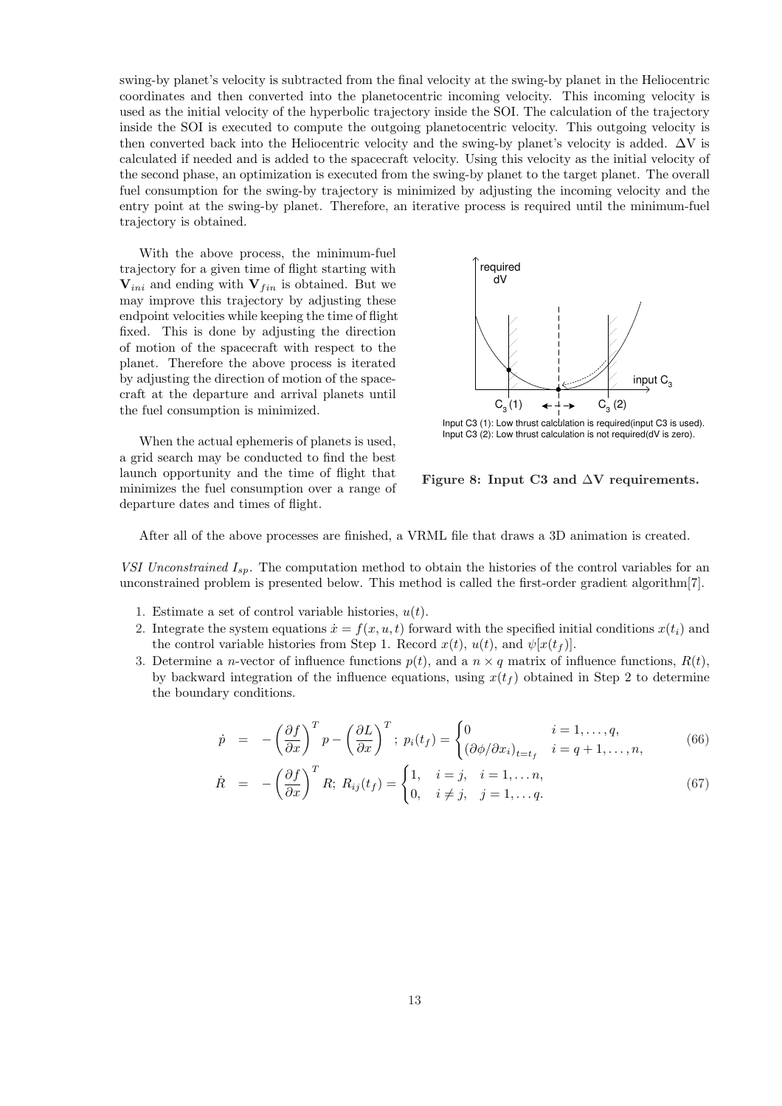swing-by planet's velocity is subtracted from the final velocity at the swing-by planet in the Heliocentric coordinates and then converted into the planetocentric incoming velocity. This incoming velocity is used as the initial velocity of the hyperbolic trajectory inside the SOI. The calculation of the trajectory inside the SOI is executed to compute the outgoing planetocentric velocity. This outgoing velocity is then converted back into the Heliocentric velocity and the swing-by planet's velocity is added.  $\Delta V$  is calculated if needed and is added to the spacecraft velocity. Using this velocity as the initial velocity of the second phase, an optimization is executed from the swing-by planet to the target planet. The overall fuel consumption for the swing-by trajectory is minimized by adjusting the incoming velocity and the entry point at the swing-by planet. Therefore, an iterative process is required until the minimum-fuel trajectory is obtained.

With the above process, the minimum-fuel trajectory for a given time of flight starting with  $V_{ini}$  and ending with  $V_{fin}$  is obtained. But we may improve this trajectory by adjusting these endpoint velocities while keeping the time of flight fixed. This is done by adjusting the direction of motion of the spacecraft with respect to the planet. Therefore the above process is iterated by adjusting the direction of motion of the spacecraft at the departure and arrival planets until the fuel consumption is minimized.

When the actual ephemeris of planets is used, a grid search may be conducted to find the best launch opportunity and the time of flight that minimizes the fuel consumption over a range of departure dates and times of flight.



Input C3 (1): Low thrust calculation is required(input C3 is used). Input C3 (2): Low thrust calculation is not required(dV is zero).

Figure 8: Input C3 and ∆V requirements.

After all of the above processes are finished, a VRML file that draws a 3D animation is created.

VSI Unconstrained  $I_{sp}$ . The computation method to obtain the histories of the control variables for an unconstrained problem is presented below. This method is called the first-order gradient algorithm[7].

- 1. Estimate a set of control variable histories,  $u(t)$ .
- 2. Integrate the system equations  $\dot{x} = f(x, u, t)$  forward with the specified initial conditions  $x(t_i)$  and the control variable histories from Step 1. Record  $x(t)$ ,  $u(t)$ , and  $\psi[x(t_f)]$ .
- 3. Determine a *n*-vector of influence functions  $p(t)$ , and a  $n \times q$  matrix of influence functions,  $R(t)$ , by backward integration of the influence equations, using  $x(t_f)$  obtained in Step 2 to determine the boundary conditions.

$$
\dot{p} = -\left(\frac{\partial f}{\partial x}\right)^T p - \left(\frac{\partial L}{\partial x}\right)^T; \ p_i(t_f) = \begin{cases} 0 & i = 1, \dots, q, \\ \left(\frac{\partial \phi}{\partial x_i}\right)_{t=t_f} & i = q+1, \dots, n, \end{cases}
$$
\n(66)

$$
\dot{R} = -\left(\frac{\partial f}{\partial x}\right)^T R; \ R_{ij}(t_f) = \begin{cases} 1, & i = j, \ i = 1, \dots n, \\ 0, & i \neq j, \ j = 1, \dots q. \end{cases} \tag{67}
$$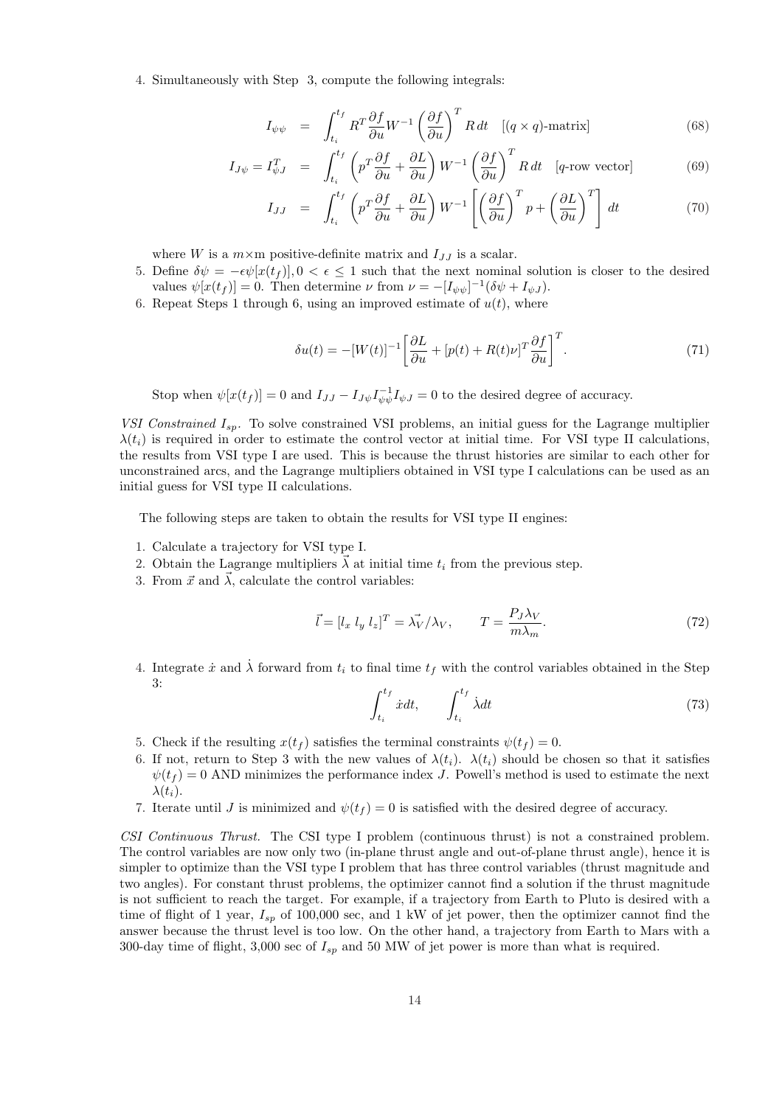4. Simultaneously with Step 3, compute the following integrals:

$$
I_{\psi\psi} = \int_{t_i}^{t_f} R^T \frac{\partial f}{\partial u} W^{-1} \left(\frac{\partial f}{\partial u}\right)^T R dt \quad [(q \times q) \text{-matrix}]
$$
\n
$$
f(t_f \left(\frac{\partial f}{\partial u}\right)^T R) = \left(\frac{\partial f}{\partial u}\right)^T R \frac{d}{dx} \quad [(q \times q) \text{-matrix}]
$$
\n(68)

$$
I_{J\psi} = I_{\psi J}^T = \int_{t_i}^{t_f} \left( p^T \frac{\partial f}{\partial u} + \frac{\partial L}{\partial u} \right) W^{-1} \left( \frac{\partial f}{\partial u} \right)^T R dt \quad [q\text{-row vector}] \tag{69}
$$

$$
I_{JJ} = \int_{t_i}^{t_f} \left( p^T \frac{\partial f}{\partial u} + \frac{\partial L}{\partial u} \right) W^{-1} \left[ \left( \frac{\partial f}{\partial u} \right)^T p + \left( \frac{\partial L}{\partial u} \right)^T \right] dt \tag{70}
$$

where W is a  $m \times m$  positive-definite matrix and  $I_{JJ}$  is a scalar.

- 5. Define  $\delta \psi = -\epsilon \psi[x(t_f)], 0 < \epsilon \leq 1$  such that the next nominal solution is closer to the desired values  $\psi[x(t_f)] = 0$ . Then determine  $\nu$  from  $\nu = -[I_{\psi\psi}]^{-1}(\delta\psi + I_{\psi J})$ .
- 6. Repeat Steps 1 through 6, using an improved estimate of  $u(t)$ , where

$$
\delta u(t) = -[W(t)]^{-1} \left[ \frac{\partial L}{\partial u} + [p(t) + R(t)\nu]^T \frac{\partial f}{\partial u} \right]^T.
$$
\n(71)

Stop when  $\psi[x(t_f)] = 0$  and  $I_{JJ} - I_{J\psi} I_{\psi\psi}^{-1} I_{\psi J} = 0$  to the desired degree of accuracy.

VSI Constrained  $I_{sp}$ . To solve constrained VSI problems, an initial guess for the Lagrange multiplier  $\lambda(t_i)$  is required in order to estimate the control vector at initial time. For VSI type II calculations, the results from VSI type I are used. This is because the thrust histories are similar to each other for unconstrained arcs, and the Lagrange multipliers obtained in VSI type I calculations can be used as an initial guess for VSI type II calculations.

The following steps are taken to obtain the results for VSI type II engines:

- 1. Calculate a trajectory for VSI type I.
- 2. Obtain the Lagrange multipliers  $\overline{\lambda}$  at initial time  $t_i$  from the previous step.
- 3. From  $\vec{x}$  and  $\vec{\lambda}$ , calculate the control variables:

$$
\vec{l} = [l_x \ l_y \ l_z]^T = \vec{\lambda_V} / \lambda_V, \qquad T = \frac{P_J \lambda_V}{m \lambda_m}.
$$
\n(72)

4. Integrate  $\dot{x}$  and  $\dot{\lambda}$  forward from  $t_i$  to final time  $t_f$  with the control variables obtained in the Step 3:  $\int f$  $\int f$ 

$$
\int_{t_i}^{t_f} \dot{x} dt, \qquad \int_{t_i}^{t_f} \dot{\lambda} dt \tag{73}
$$

- 5. Check if the resulting  $x(t_f)$  satisfies the terminal constraints  $\psi(t_f) = 0$ .
- 6. If not, return to Step 3 with the new values of  $\lambda(t_i)$ .  $\lambda(t_i)$  should be chosen so that it satisfies  $\psi(t_f) = 0$  AND minimizes the performance index J. Powell's method is used to estimate the next  $\lambda(t_i)$ .
- 7. Iterate until J is minimized and  $\psi(t_f) = 0$  is satisfied with the desired degree of accuracy.

CSI Continuous Thrust. The CSI type I problem (continuous thrust) is not a constrained problem. The control variables are now only two (in-plane thrust angle and out-of-plane thrust angle), hence it is simpler to optimize than the VSI type I problem that has three control variables (thrust magnitude and two angles). For constant thrust problems, the optimizer cannot find a solution if the thrust magnitude is not sufficient to reach the target. For example, if a trajectory from Earth to Pluto is desired with a time of flight of 1 year,  $I_{sp}$  of 100,000 sec, and 1 kW of jet power, then the optimizer cannot find the answer because the thrust level is too low. On the other hand, a trajectory from Earth to Mars with a 300-day time of flight, 3,000 sec of  $I_{sp}$  and 50 MW of jet power is more than what is required.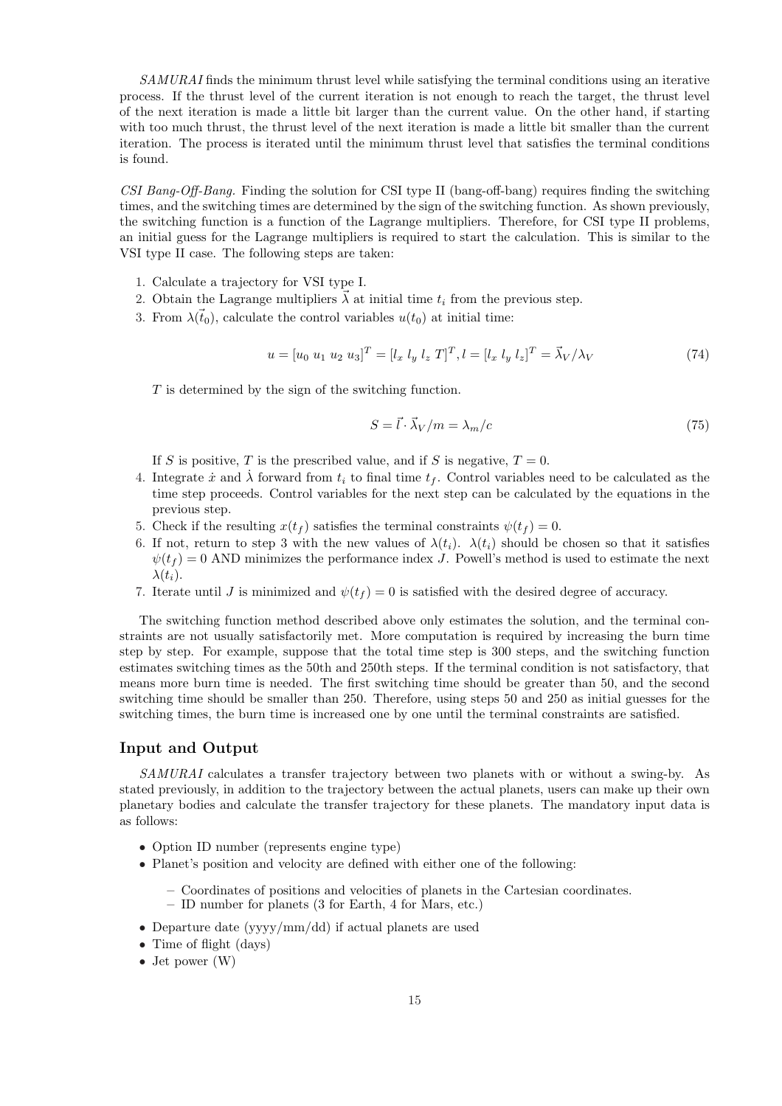SAMURAI finds the minimum thrust level while satisfying the terminal conditions using an iterative process. If the thrust level of the current iteration is not enough to reach the target, the thrust level of the next iteration is made a little bit larger than the current value. On the other hand, if starting with too much thrust, the thrust level of the next iteration is made a little bit smaller than the current iteration. The process is iterated until the minimum thrust level that satisfies the terminal conditions is found.

CSI Bang-Off-Bang. Finding the solution for CSI type II (bang-off-bang) requires finding the switching times, and the switching times are determined by the sign of the switching function. As shown previously, the switching function is a function of the Lagrange multipliers. Therefore, for CSI type II problems, an initial guess for the Lagrange multipliers is required to start the calculation. This is similar to the VSI type II case. The following steps are taken:

- 1. Calculate a trajectory for VSI type I.
- 2. Obtain the Lagrange multipliers  $\vec{\lambda}$  at initial time  $t_i$  from the previous step.
- 3. From  $\lambda(\vec{t}_0)$ , calculate the control variables  $u(t_0)$  at initial time:

$$
u = [u_0 \ u_1 \ u_2 \ u_3]^T = [l_x \ l_y \ l_z \ T]^T, l = [l_x \ l_y \ l_z]^T = \vec{\lambda}_V / \lambda_V \tag{74}
$$

T is determined by the sign of the switching function.

$$
S = \vec{l} \cdot \vec{\lambda}_V / m = \lambda_m / c \tag{75}
$$

If S is positive, T is the prescribed value, and if S is negative,  $T = 0$ .

- 4. Integrate  $\dot{x}$  and  $\dot{\lambda}$  forward from  $t_i$  to final time  $t_f$ . Control variables need to be calculated as the time step proceeds. Control variables for the next step can be calculated by the equations in the previous step.
- 5. Check if the resulting  $x(t_f)$  satisfies the terminal constraints  $\psi(t_f) = 0$ .
- 6. If not, return to step 3 with the new values of  $\lambda(t_i)$ .  $\lambda(t_i)$  should be chosen so that it satisfies  $\psi(t_f) = 0$  AND minimizes the performance index J. Powell's method is used to estimate the next  $\lambda(t_i)$ .
- 7. Iterate until J is minimized and  $\psi(t_f) = 0$  is satisfied with the desired degree of accuracy.

The switching function method described above only estimates the solution, and the terminal constraints are not usually satisfactorily met. More computation is required by increasing the burn time step by step. For example, suppose that the total time step is 300 steps, and the switching function estimates switching times as the 50th and 250th steps. If the terminal condition is not satisfactory, that means more burn time is needed. The first switching time should be greater than 50, and the second switching time should be smaller than 250. Therefore, using steps 50 and 250 as initial guesses for the switching times, the burn time is increased one by one until the terminal constraints are satisfied.

#### Input and Output

SAMURAI calculates a transfer trajectory between two planets with or without a swing-by. As stated previously, in addition to the trajectory between the actual planets, users can make up their own planetary bodies and calculate the transfer trajectory for these planets. The mandatory input data is as follows:

- Option ID number (represents engine type)
- Planet's position and velocity are defined with either one of the following:
	- Coordinates of positions and velocities of planets in the Cartesian coordinates.
	- ID number for planets (3 for Earth, 4 for Mars, etc.)
- Departure date (yyyy/mm/dd) if actual planets are used
- Time of flight (days)
- Jet power (W)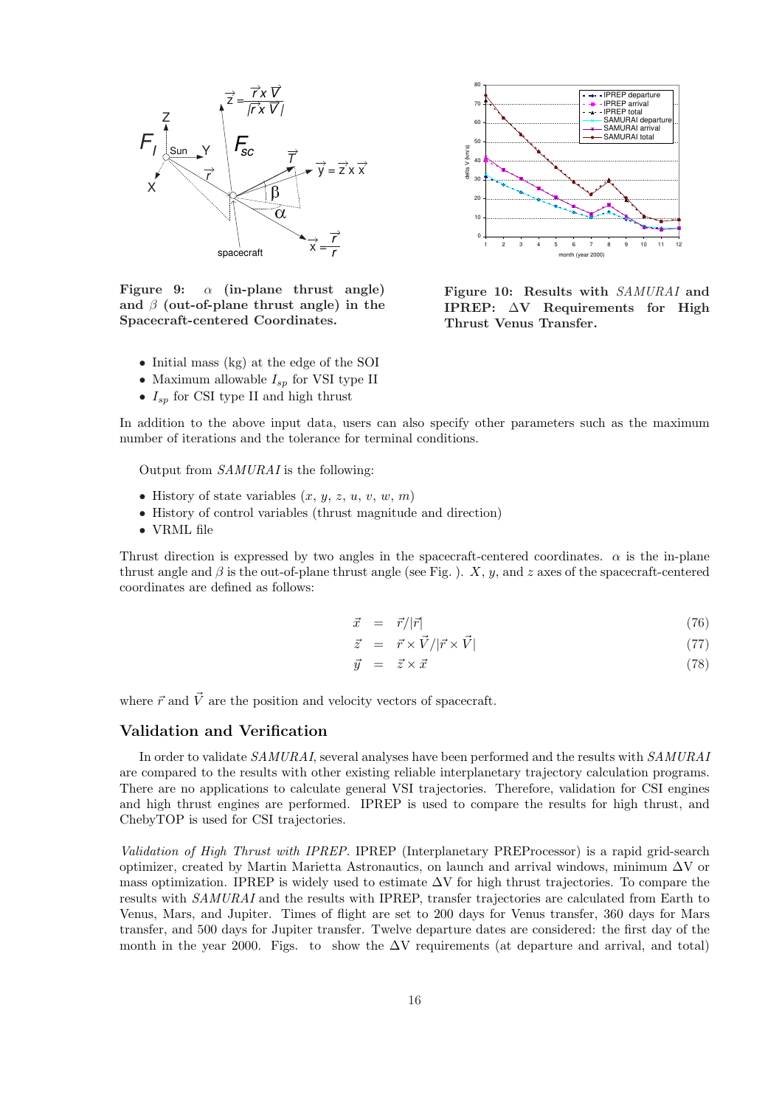

Figure 9:  $\alpha$  (in-plane thrust angle) and  $\beta$  (out-of-plane thrust angle) in the Spacecraft-centered Coordinates.

- Initial mass (kg) at the edge of the SOI
- Maximum allowable  $I_{sp}$  for VSI type II
- $I_{\rm sn}$  for CSI type II and high thrust



Figure 10: Results with SAMURAI and IPREP: ∆V Requirements for High Thrust Venus Transfer.

In addition to the above input data, users can also specify other parameters such as the maximum number of iterations and the tolerance for terminal conditions.

Output from SAMURAI is the following:

- History of state variables  $(x, y, z, u, v, w, m)$
- History of control variables (thrust magnitude and direction)
- VRML file

Thrust direction is expressed by two angles in the spacecraft-centered coordinates.  $\alpha$  is the in-plane thrust angle and  $\beta$  is the out-of-plane thrust angle (see Fig. ). X, y, and z axes of the spacecraft-centered coordinates are defined as follows:

$$
\vec{x} = \vec{r}/|\vec{r}| \tag{76}
$$

$$
\vec{z} = \vec{r} \times \vec{V} / |\vec{r} \times \vec{V}| \tag{77}
$$

$$
\vec{y} = \vec{z} \times \vec{x} \tag{78}
$$

where  $\vec{r}$  and  $\vec{V}$  are the position and velocity vectors of spacecraft.

# Validation and Verification

In order to validate SAMURAI, several analyses have been performed and the results with SAMURAI are compared to the results with other existing reliable interplanetary trajectory calculation programs. There are no applications to calculate general VSI trajectories. Therefore, validation for CSI engines and high thrust engines are performed. IPREP is used to compare the results for high thrust, and ChebyTOP is used for CSI trajectories.

Validation of High Thrust with IPREP. IPREP (Interplanetary PREProcessor) is a rapid grid-search optimizer, created by Martin Marietta Astronautics, on launch and arrival windows, minimum  $\Delta V$  or mass optimization. IPREP is widely used to estimate  $\Delta V$  for high thrust trajectories. To compare the results with *SAMURAI* and the results with IPREP, transfer trajectories are calculated from Earth to Venus, Mars, and Jupiter. Times of flight are set to 200 days for Venus transfer, 360 days for Mars transfer, and 500 days for Jupiter transfer. Twelve departure dates are considered: the first day of the month in the year 2000. Figs. to show the  $\Delta V$  requirements (at departure and arrival, and total)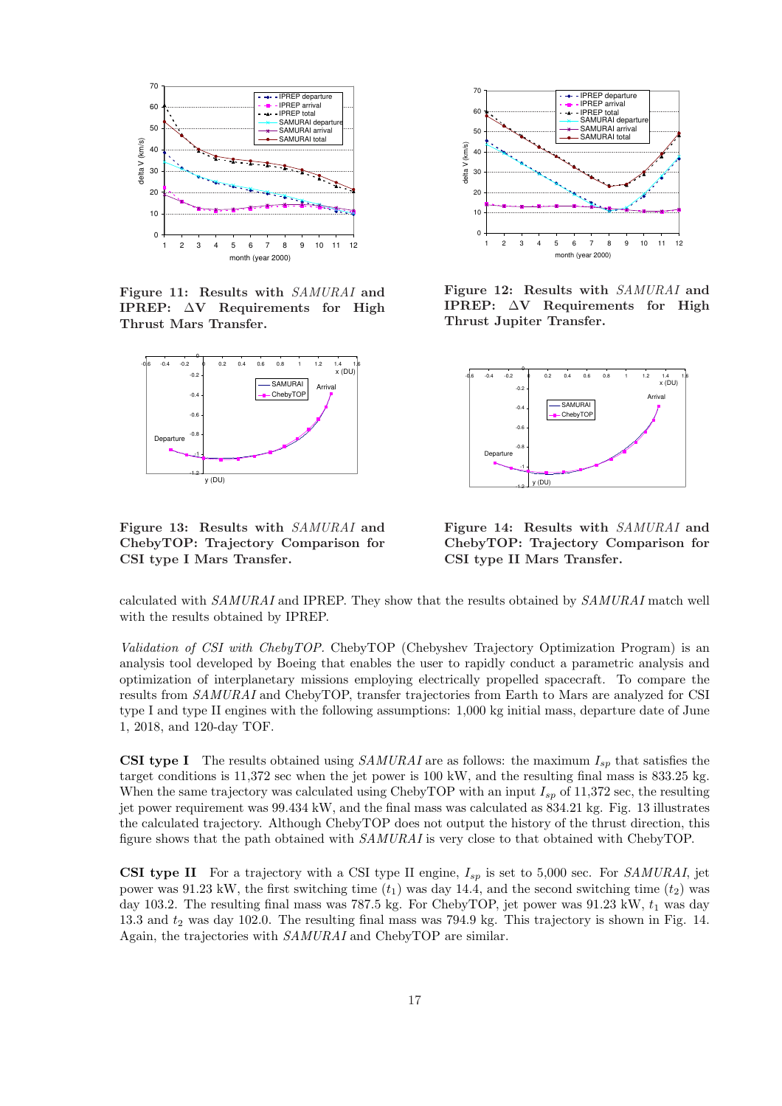

Figure 11: Results with SAMURAI and IPREP: ∆V Requirements for High Thrust Mars Transfer.



Figure 13: Results with SAMURAI and ChebyTOP: Trajectory Comparison for CSI type I Mars Transfer.



Figure 12: Results with SAMURAI and IPREP: ∆V Requirements for High Thrust Jupiter Transfer.



Figure 14: Results with SAMURAI and ChebyTOP: Trajectory Comparison for CSI type II Mars Transfer.

calculated with SAMURAI and IPREP. They show that the results obtained by SAMURAI match well with the results obtained by IPREP.

Validation of CSI with ChebyTOP. ChebyTOP (Chebyshev Trajectory Optimization Program) is an analysis tool developed by Boeing that enables the user to rapidly conduct a parametric analysis and optimization of interplanetary missions employing electrically propelled spacecraft. To compare the results from SAMURAI and ChebyTOP, transfer trajectories from Earth to Mars are analyzed for CSI type I and type II engines with the following assumptions: 1,000 kg initial mass, departure date of June 1, 2018, and 120-day TOF.

**CSI type I** The results obtained using SAMURAI are as follows: the maximum  $I_{sp}$  that satisfies the target conditions is 11,372 sec when the jet power is 100 kW, and the resulting final mass is 833.25 kg. When the same trajectory was calculated using ChebyTOP with an input  $I_{sp}$  of 11,372 sec, the resulting jet power requirement was 99.434 kW, and the final mass was calculated as 834.21 kg. Fig. 13 illustrates the calculated trajectory. Although ChebyTOP does not output the history of the thrust direction, this figure shows that the path obtained with SAMURAI is very close to that obtained with ChebyTOP.

**CSI type II** For a trajectory with a CSI type II engine,  $I_{sp}$  is set to 5,000 sec. For SAMURAI, jet power was 91.23 kW, the first switching time  $(t_1)$  was day 14.4, and the second switching time  $(t_2)$  was day 103.2. The resulting final mass was 787.5 kg. For ChebyTOP, jet power was  $91.23 \text{ kW}, t_1$  was day 13.3 and  $t_2$  was day 102.0. The resulting final mass was 794.9 kg. This trajectory is shown in Fig. 14. Again, the trajectories with SAMURAI and ChebyTOP are similar.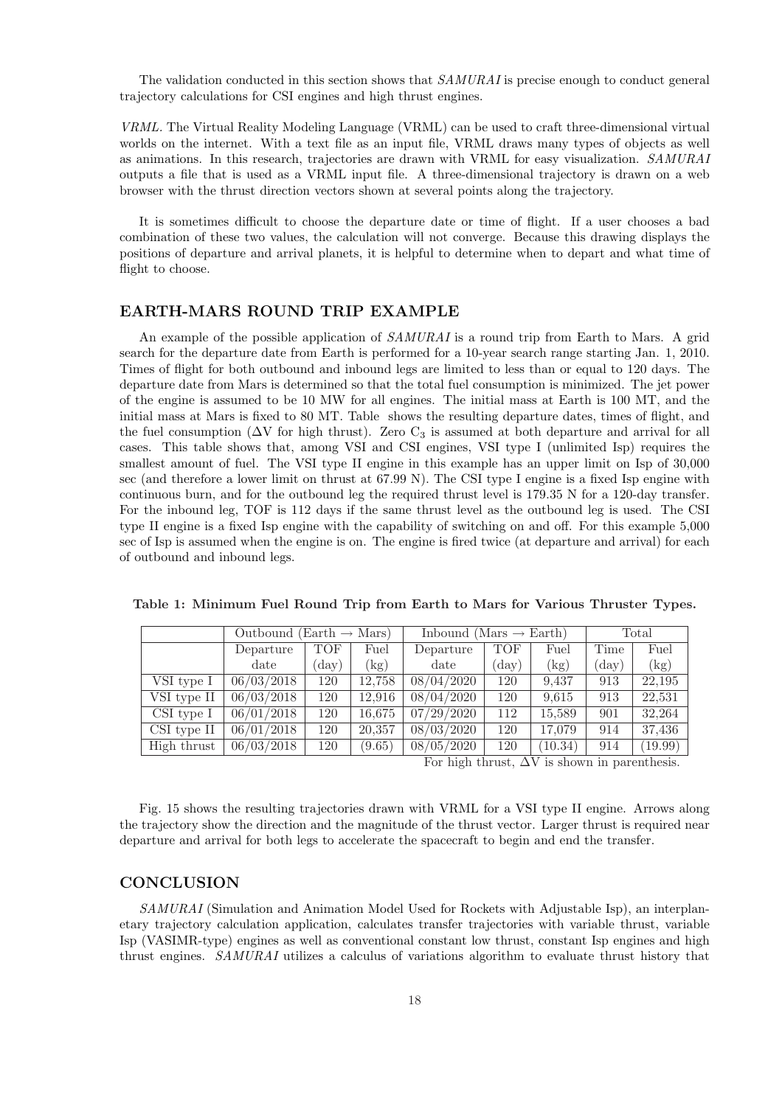The validation conducted in this section shows that  $SAMURAL$  is precise enough to conduct general trajectory calculations for CSI engines and high thrust engines.

VRML. The Virtual Reality Modeling Language (VRML) can be used to craft three-dimensional virtual worlds on the internet. With a text file as an input file, VRML draws many types of objects as well as animations. In this research, trajectories are drawn with VRML for easy visualization. SAMURAI outputs a file that is used as a VRML input file. A three-dimensional trajectory is drawn on a web browser with the thrust direction vectors shown at several points along the trajectory.

It is sometimes difficult to choose the departure date or time of flight. If a user chooses a bad combination of these two values, the calculation will not converge. Because this drawing displays the positions of departure and arrival planets, it is helpful to determine when to depart and what time of flight to choose.

#### EARTH-MARS ROUND TRIP EXAMPLE

An example of the possible application of SAMURAI is a round trip from Earth to Mars. A grid search for the departure date from Earth is performed for a 10-year search range starting Jan. 1, 2010. Times of flight for both outbound and inbound legs are limited to less than or equal to 120 days. The departure date from Mars is determined so that the total fuel consumption is minimized. The jet power of the engine is assumed to be 10 MW for all engines. The initial mass at Earth is 100 MT, and the initial mass at Mars is fixed to 80 MT. Table shows the resulting departure dates, times of flight, and the fuel consumption ( $\Delta V$  for high thrust). Zero C<sub>3</sub> is assumed at both departure and arrival for all cases. This table shows that, among VSI and CSI engines, VSI type I (unlimited Isp) requires the smallest amount of fuel. The VSI type II engine in this example has an upper limit on Isp of 30,000 sec (and therefore a lower limit on thrust at 67.99 N). The CSI type I engine is a fixed Isp engine with continuous burn, and for the outbound leg the required thrust level is 179.35 N for a 120-day transfer. For the inbound leg, TOF is 112 days if the same thrust level as the outbound leg is used. The CSI type II engine is a fixed Isp engine with the capability of switching on and off. For this example 5,000 sec of Isp is assumed when the engine is on. The engine is fired twice (at departure and arrival) for each of outbound and inbound legs.

|                 | Outbound (Earth $\rightarrow$ Mars) |                |        | Inbound (Mars $\rightarrow$ Earth) |                |         | Total          |         |
|-----------------|-------------------------------------|----------------|--------|------------------------------------|----------------|---------|----------------|---------|
|                 | Departure                           | TOF            | Fuel   | Departure                          | <b>TOF</b>     | Fuel    | Time           | Fuel    |
|                 | date                                | $(\text{day})$ | (kg)   | date                               | $(\text{day})$ | (kg)    | $(\text{day})$ | (kg)    |
| VSI type I      | 06/03/2018                          | 120            | 12,758 | 08/04/2020                         | 120            | 9.437   | 913            | 22,195  |
| VSI type II     | 06/03/2018                          | 120            | 12.916 | 08/04/2020                         | 120            | 9,615   | 913            | 22,531  |
| $CSI$ type $I$  | 06/01/2018                          | 120            | 16,675 | 07/29/2020                         | 112            | 15,589  | 901            | 32,264  |
| $CSI$ type $II$ | 06/01/2018                          | 120            | 20,357 | 08/03/2020                         | 120            | 17,079  | 914            | 37,436  |
| High thrust     | 06/03/2018                          | 120            | (9.65) | 08/05/2020                         | 120            | (10.34) | 914            | (19.99) |

Table 1: Minimum Fuel Round Trip from Earth to Mars for Various Thruster Types.

For high thrust,  $\Delta V$  is shown in parenthesis.

Fig. 15 shows the resulting trajectories drawn with VRML for a VSI type II engine. Arrows along the trajectory show the direction and the magnitude of the thrust vector. Larger thrust is required near departure and arrival for both legs to accelerate the spacecraft to begin and end the transfer.

# **CONCLUSION**

SAMURAI (Simulation and Animation Model Used for Rockets with Adjustable Isp), an interplanetary trajectory calculation application, calculates transfer trajectories with variable thrust, variable Isp (VASIMR-type) engines as well as conventional constant low thrust, constant Isp engines and high thrust engines. SAMURAI utilizes a calculus of variations algorithm to evaluate thrust history that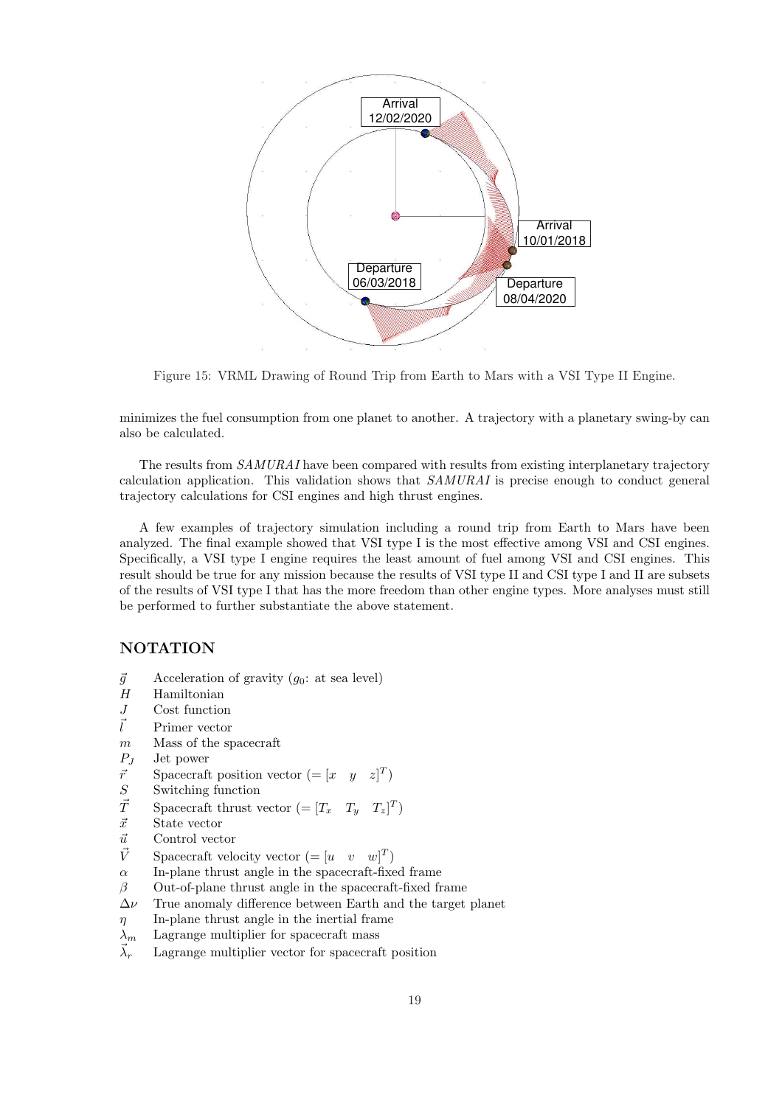

Figure 15: VRML Drawing of Round Trip from Earth to Mars with a VSI Type II Engine.

minimizes the fuel consumption from one planet to another. A trajectory with a planetary swing-by can also be calculated.

The results from  $SAMURAL$  have been compared with results from existing interplanetary trajectory calculation application. This validation shows that  $SAMURAI$  is precise enough to conduct general trajectory calculations for CSI engines and high thrust engines.

A few examples of trajectory simulation including a round trip from Earth to Mars have been analyzed. The final example showed that VSI type I is the most effective among VSI and CSI engines. Specifically, a VSI type I engine requires the least amount of fuel among VSI and CSI engines. This result should be true for any mission because the results of VSI type II and CSI type I and II are subsets of the results of VSI type I that has the more freedom than other engine types. More analyses must still be performed to further substantiate the above statement.

### NOTATION

- $\vec{g}$  Acceleration of gravity ( $g_0$ : at sea level)<br>  $H$  Hamiltonian
- Hamiltonian
- J Cost function
- $\vec{l}$  Primer vector
- m Mass of the spacecraft
- $P_J$  Jet power<br>  $\vec{r}$  Spacecraft
- $\vec{r}$  Spacecraft position vector  $(=[x \ y \ z]^T)$
- S Switching function
- $\vec{T}$  Spacecraft thrust vector  $(=[T_x \ T_y \ T_z]^T)$
- $\vec{x}$  State vector
- $\vec{u}$  Control vector
- $\vec{V}$  Spacecraft velocity vector  $(=[u \quad v \quad w]^T)$
- $\alpha$  In-plane thrust angle in the spacecraft-fixed frame
- $\beta$  Out-of-plane thrust angle in the spacecraft-fixed frame
- $\Delta \nu$  True anomaly difference between Earth and the target planet
- $\eta$  In-plane thrust angle in the inertial frame
- $\lambda_m$  Lagrange multiplier for spacecraft mass
- $\vec{\lambda}_r$  Lagrange multiplier vector for spacecraft position